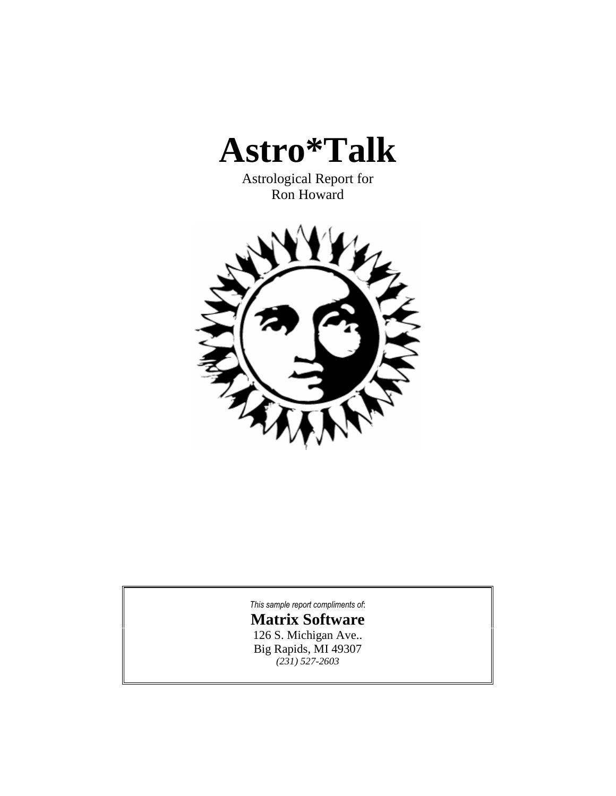

Astrological Report for Ron Howard



*This sample report [compliments](http://www.astrologysoftware.com/software/rws/atalk/pro_atalk.asp?orig=) of*:

**Matrix [Software](http://www.astrologysoftware.com/software/rws/atalk/pro_atalk.asp?orig=)** 126 S. [Michigan](http://www.astrologysoftware.com/software/rws/atalk/pro_atalk.asp?orig=) Ave.. Big [Rapids,](http://www.astrologysoftware.com/software/rws/atalk/pro_atalk.asp?orig=) MI 49307 *(231) [527-2603](http://www.astrologysoftware.com/software/rws/atalk/pro_atalk.asp?orig=)*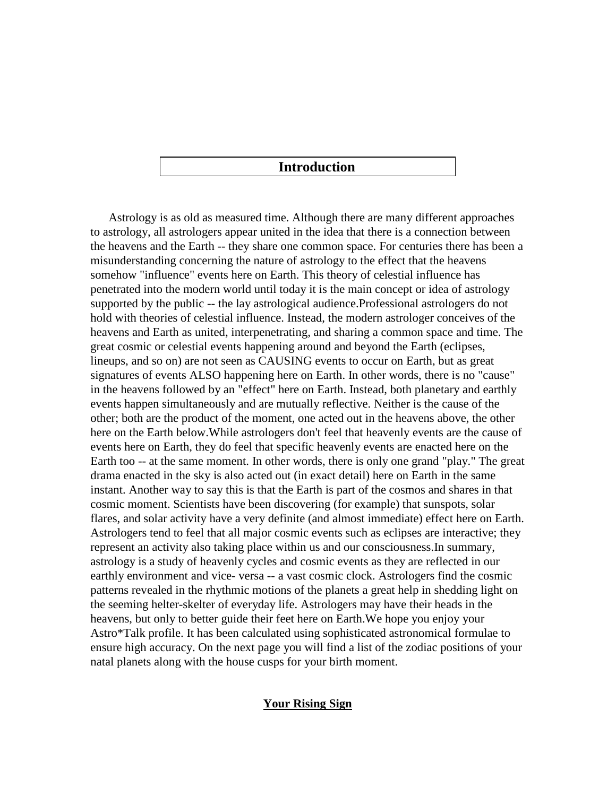# **Introduction**

Astrology is as old as measured time. Although there are many different approaches to astrology, all astrologers appear united in the idea that there is a connection between the heavens and the Earth -- they share one common space. For centuries there has been a misunderstanding concerning the nature of astrology to the effect that the heavens somehow "influence" events here on Earth. This theory of celestial influence has penetrated into the modern world until today it is the main concept or idea of astrology supported by the public -- the lay astrological audience.Professional astrologers do not hold with theories of celestial influence. Instead, the modern astrologer conceives of the heavens and Earth as united, interpenetrating, and sharing a common space and time. The great cosmic or celestial events happening around and beyond the Earth (eclipses, lineups, and so on) are not seen as CAUSING events to occur on Earth, but as great signatures of events ALSO happening here on Earth. In other words, there is no "cause" in the heavens followed by an "effect" here on Earth. Instead, both planetary and earthly events happen simultaneously and are mutually reflective. Neither is the cause of the other; both are the product of the moment, one acted out in the heavens above, the other here on the Earth below.While astrologers don't feel that heavenly events are the cause of events here on Earth, they do feel that specific heavenly events are enacted here on the Earth too -- at the same moment. In other words, there is only one grand "play." The great drama enacted in the sky is also acted out (in exact detail) here on Earth in the same instant. Another way to say this is that the Earth is part of the cosmos and shares in that cosmic moment. Scientists have been discovering (for example) that sunspots, solar flares, and solar activity have a very definite (and almost immediate) effect here on Earth. Astrologers tend to feel that all major cosmic events such as eclipses are interactive; they represent an activity also taking place within us and our consciousness.In summary, astrology is a study of heavenly cycles and cosmic events as they are reflected in our earthly environment and vice- versa -- a vast cosmic clock. Astrologers find the cosmic patterns revealed in the rhythmic motions of the planets a great help in shedding light on the seeming helter-skelter of everyday life.Astrologers may have their heads in the heavens, but only to better guide their feet here on Earth.We hope you enjoy your Astro\*Talk profile. It has been calculated using sophisticated astronomical formulae to ensure high accuracy. On the next page you will find a list of the zodiac positions of your natal planets along with the house cusps for your birth moment.

# **Your Rising Sign**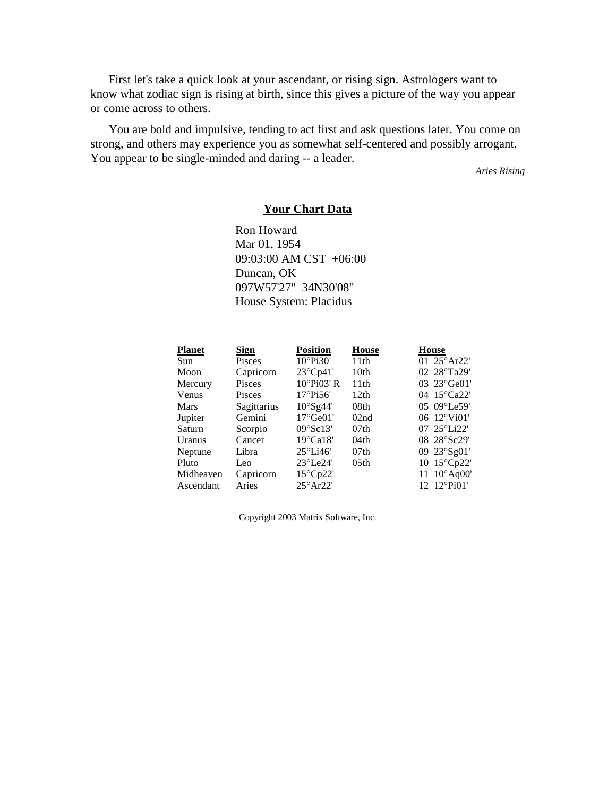First let's take a quick look at your ascendant, or rising sign. Astrologers want to know what zodiac sign is rising at birth, since this gives a picture of the way you appear or come across to others.

You are bold and impulsive, tending to act first and ask questions later. You come on strong, and others may experience you as somewhat self-centered and possibly arrogant. You appear to be single-minded and daring -- a leader.

*Aries Rising*

## **Your Chart Data**

Ron Howard Mar 01, 1954 09:03:00 AM CST +06:00 Duncan, OK 097W57'27" 34N30'08" House System: Placidus

| <b>Planet</b> | <b>Sign</b>   | <b>Position</b>       | <b>House</b>     | <b>House</b> |
|---------------|---------------|-----------------------|------------------|--------------|
| Sun           | Pisces        | $10^{\circ}$ Pi30'    | 11 <sup>th</sup> | 01 25°Ar22'  |
| Moon          | Capricorn     | 23°Cp41'              | 10 <sub>th</sub> | 02 28°Ta29'  |
| Mercury       | <b>Pisces</b> | 10°Pi03' R            | 11th             | 03 23°Ge01'  |
| Venus         | Pisces        | 17°Pi56'              | 12th             | 04 15°Ca22'  |
| <b>Mars</b>   | Sagittarius   | $10^{\circ}$ Sg44'    | 08th             | 05 09°Le59'  |
| Jupiter       | Gemini        | $17^{\circ}$ Ge $01'$ | 02nd             | 06 12°Vi01'  |
| Saturn        | Scorpio       | 09°Sc13'              | 07 <sub>th</sub> | 07 25°Li22'  |
| <b>Uranus</b> | Cancer        | $19^{\circ}$ Ca $18'$ | 04th             | 08 28°Sc29'  |
| Neptune       | Libra         | $25^{\circ}$ Li46'    | 07 <sub>th</sub> | 09 23°Sg01'  |
| Pluto         | Leo           | $23^{\circ}$ Le $24'$ | 05 <sub>th</sub> | 10 15°Cp22'  |
| Midheaven     | Capricorn     | $15^{\circ}$ Cp22'    |                  | 11 10°Aq00'  |
| Ascendant     | Aries         | $25^{\circ}Ar22'$     |                  | 12 12°Pi01'  |

Copyright 2003 Matrix Software, Inc.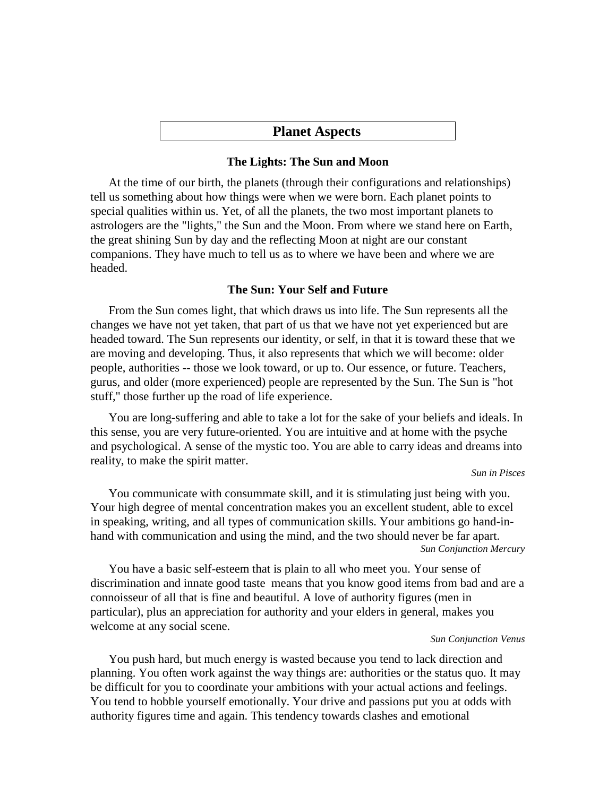# **Planet Aspects**

## **The Lights: The Sun and Moon**

At the time of our birth, the planets (through their configurations and relationships) tell us something about how things were when we were born. Each planet points to special qualities within us. Yet, of all the planets, the two most important planets to astrologers are the "lights," the Sun and the Moon. From where we stand here on Earth, the great shining Sun by day and the reflecting Moon at night are our constant companions. They have much to tell us as to where we have been and where we are headed.

# **The Sun: Your Self and Future**

From the Sun comes light, that which draws us into life.The Sun represents all the changes we have not yet taken, that part of us that we have not yet experienced but are headed toward. The Sun represents our identity, or self, in that it is toward these that we are moving and developing. Thus, it also represents that which we will become: older people, authorities -- those we look toward, or up to. Our essence, or future. Teachers, gurus, and older (more experienced) people are represented by the Sun. The Sun is "hot stuff," those further up the road of life experience.

You are long-suffering and able to take a lot for the sake of your beliefs and ideals. In this sense, you are very future-oriented. You are intuitive and at home with the psyche and psychological. A sense of the mystic too. You are able to carry ideas and dreams into reality, to make the spirit matter.

#### *Sun in Pisces*

You communicate with consummate skill, and it is stimulating just being with you. Your high degree of mental concentration makes you an excellent student, able to excel in speaking, writing, and all types of communication skills. Your ambitions go hand-in hand with communication and using the mind, and the two should never be far apart. *Sun Conjunction Mercury*

You have a basic self-esteem that is plain to all who meet you. Your sense of discrimination and innate good taste means that you know good items from bad and are a connoisseur of all that is fine and beautiful. A love of authority figures (men in particular), plus an appreciation for authority and your elders in general, makes you welcome at any social scene.

#### *Sun Conjunction Venus*

You push hard, but much energy is wasted because you tend to lack direction and planning. You often work against the way things are: authorities or the status quo. It may be difficult for you to coordinate your ambitions with your actual actions and feelings. You tend to hobble yourself emotionally. Your drive and passions put you at odds with authority figures time and again. This tendency towards clashes and emotional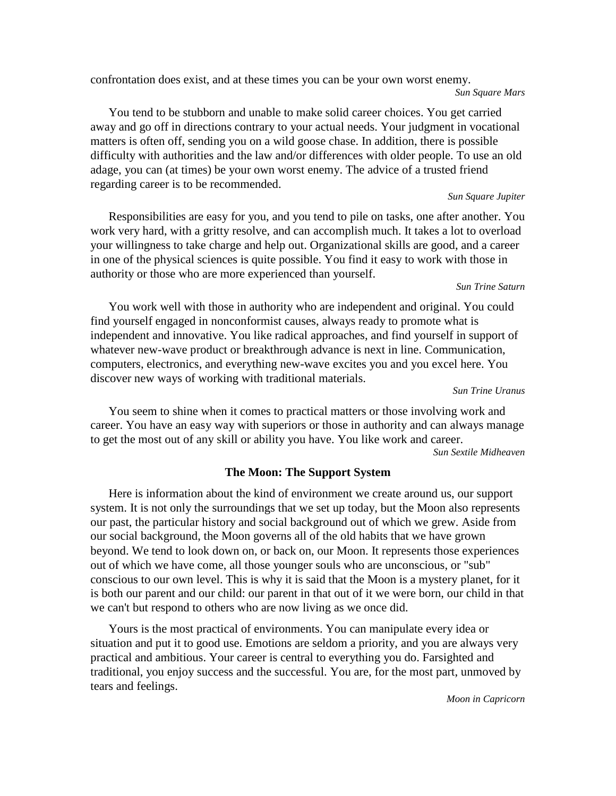confrontation does exist, and at these times you can be your own worst enemy. *Sun Square Mars*

You tend to be stubborn and unable to make solid career choices. You get carried away and go off in directions contrary to your actual needs. Your judgment in vocational matters is often off, sending you on a wild goose chase. In addition, there is possible difficulty with authorities and the law and/or differences with older people. To use an old adage, you can (at times) be your own worst enemy. The advice of a trusted friend regarding career is to be recommended.

#### *Sun Square Jupiter*

Responsibilities are easy for you, and you tend to pile on tasks, one after another. You work very hard, with a gritty resolve, and can accomplish much. It takes a lot to overload your willingness to take charge and help out. Organizational skills are good, and a career in one of the physical sciences is quite possible. You find it easy to work with those in authority or those who are more experienced than yourself.

## *Sun Trine Saturn*

You work well with those in authority who are independent and original. You could find yourself engaged in nonconformist causes, always ready to promote what is independent and innovative. You like radical approaches, and find yourself in support of whatever new-wave product or breakthrough advance is next in line. Communication, computers, electronics, and everything new-wave excites you and you excel here. You discover new ways of working with traditional materials.

#### *Sun Trine Uranus*

You seem to shine when it comes to practical matters or those involving work and career. You have an easy way with superiors or those in authority and can always manage to get the most out of any skill or ability you have. You like work and career.

*Sun Sextile Midheaven*

## **The Moon: The Support System**

Here is information about the kind of environment we create around us, our support system. It is not only the surroundings that we set up today, but the Moon also represents our past, the particular history and social background out of which we grew. Aside from our social background, the Moon governs all of the old habits that we have grown beyond. We tend to look down on, or back on, our Moon. It represents those experiences out of which we have come, all those younger souls who are unconscious, or "sub" conscious to our own level. This is why it is said that the Moon is a mystery planet, for it is both our parent and our child: our parent in that out of it we were born, our child in that we can't but respond to others who are now living as we once did.

Yours is the most practical of environments. You can manipulate every idea or situation and put it to good use. Emotions are seldom a priority, and you are always very practical and ambitious. Your career is central to everything you do. Farsighted and traditional, you enjoy success and the successful. You are, for the most part, unmoved by tears and feelings.

*Moon in Capricorn*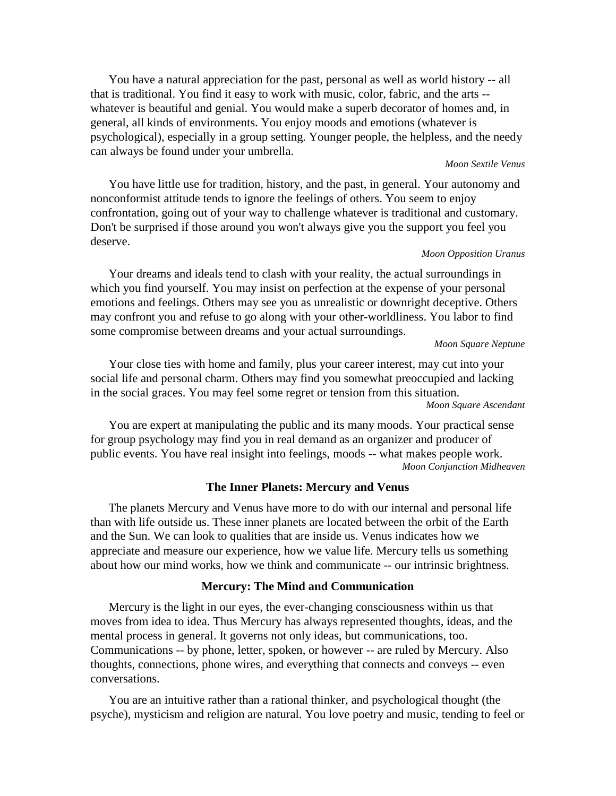You have a natural appreciation for the past, personal as well as world history -- all that is traditional. You find it easy to work with music, color, fabric, and the arts - whatever is beautiful and genial. You would make a superb decorator of homes and, in general, all kinds of environments. You enjoy moods and emotions (whatever is psychological), especially in a group setting. Younger people, the helpless, and the needy can always be found under your umbrella.

#### *Moon Sextile Venus*

You have little use for tradition, history, and the past, in general. Your autonomy and nonconformist attitude tends to ignore the feelings of others. You seem to enjoy confrontation, going out of your way to challenge whatever is traditional and customary. Don't be surprised if those around you won't always give you the support you feel you deserve.

## *Moon Opposition Uranus*

Your dreams and ideals tend to clash with your reality, the actual surroundings in which you find yourself. You may insist on perfection at the expense of your personal emotions and feelings. Others may see you as unrealistic or downright deceptive. Others may confront you and refuse to go along with your other-worldliness. You labor to find some compromise between dreams and your actual surroundings.

## *Moon Square Neptune*

Your close ties with home and family, plus your career interest, may cut into your social life and personal charm. Others may find you somewhat preoccupied and lacking in the social graces. You may feel some regret or tension from this situation.

#### *Moon Square Ascendant*

You are expert at manipulating the public and its many moods. Your practical sense for group psychology may find you in real demand as an organizer and producer of public events. You have real insight into feelings, moods -- what makes people work. *Moon Conjunction Midheaven*

## **The Inner Planets: Mercury and Venus**

The planets Mercury and Venus have more to do with our internal and personal life than with life outside us. These inner planets are located between the orbit of the Earth and the Sun. We can look to qualities that are inside us. Venus indicates how we appreciate and measure our experience, how we value life. Mercury tells us something about how our mind works, how we think and communicate -- our intrinsic brightness.

## **Mercury: The Mind and Communication**

Mercury is the light in our eyes, the ever-changing consciousness within us that moves from idea to idea. Thus Mercury has always represented thoughts, ideas, and the mental process in general. It governs not only ideas, but communications, too. Communications -- by phone, letter, spoken, or however -- are ruled by Mercury. Also thoughts, connections, phone wires, and everything that connects and conveys -- even conversations.

You are an intuitive rather than a rational thinker, and psychological thought (the psyche), mysticism and religion are natural. You love poetry and music, tending to feel or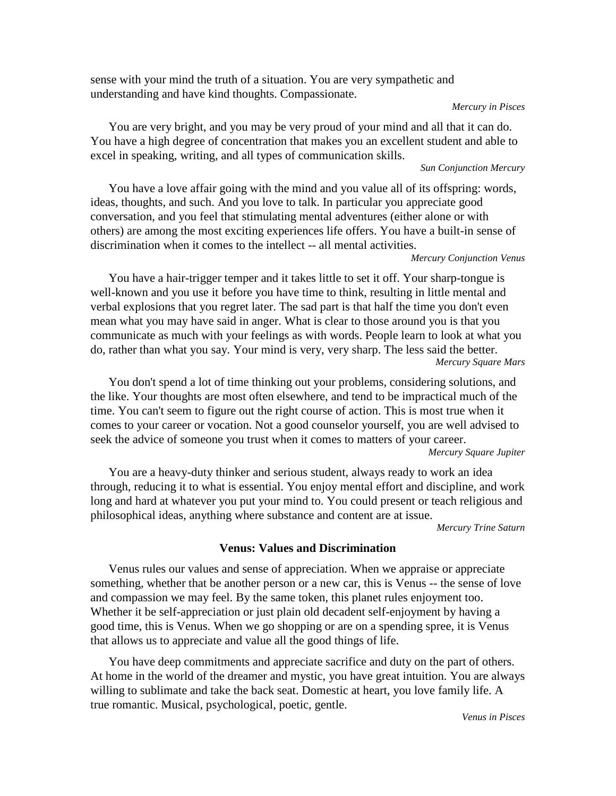sense with your mind the truth of a situation. You are very sympathetic and understanding and have kind thoughts. Compassionate.

#### *Mercury in Pisces*

You are very bright, and you may be very proud of your mind and all that it can do. You have a high degree of concentration that makes you an excellent student and able to excel in speaking, writing, and all types of communication skills.

### *Sun Conjunction Mercury*

You have a love affair going with the mind and you value all of its offspring: words, ideas, thoughts, and such. And you love to talk. In particular you appreciate good conversation, and you feel that stimulating mental adventures (either alone or with others) are among the most exciting experiences life offers. You have a built-in sense of discrimination when it comes to the intellect -- all mental activities.

### *Mercury Conjunction Venus*

You have a hair-trigger temper and it takes little to set it off. Your sharp-tongue is well-known and you use it before you have time to think, resulting in little mental and verbal explosions that you regret later. The sad part is that half the time you don't even mean what you may have said in anger. What is clear to those around you is that you communicate as much with your feelings as with words. People learn to look at what you do, rather than what you say.Your mind is very, very sharp. The less said the better. *Mercury Square Mars*

You don't spend a lot of time thinking out your problems, considering solutions, and the like. Your thoughts are most often elsewhere, and tend to be impractical much of the time. You can't seem to figure out the right course of action. This is most true when it comes to your career or vocation. Not a good counselor yourself, you are well advised to seek the advice of someone you trust when it comes to matters of your career.

#### *Mercury Square Jupiter*

You are a heavy-duty thinker and serious student, always ready to work an idea through, reducing it to what is essential. You enjoy mental effort and discipline, and work long and hard at whatever you put your mind to. You could present or teach religious and philosophical ideas, anything where substance and content are at issue.

*Mercury Trine Saturn*

# **Venus: Values and Discrimination**

Venus rules our values and sense of appreciation. When we appraise or appreciate something, whether that be another person or a new car, this is Venus -- the sense of love and compassion we may feel. By the same token, this planet rules enjoyment too. Whether it be self-appreciation or just plain old decadent self-enjoyment by having a good time, this is Venus. When we go shopping or are on a spending spree, it is Venus that allows us to appreciate and value all the good things of life.

You have deep commitments and appreciate sacrifice and duty on the part of others. At home in the world of the dreamer and mystic, you have great intuition. You are always willing to sublimate and take the back seat. Domestic at heart, you love family life.A true romantic. Musical, psychological, poetic, gentle.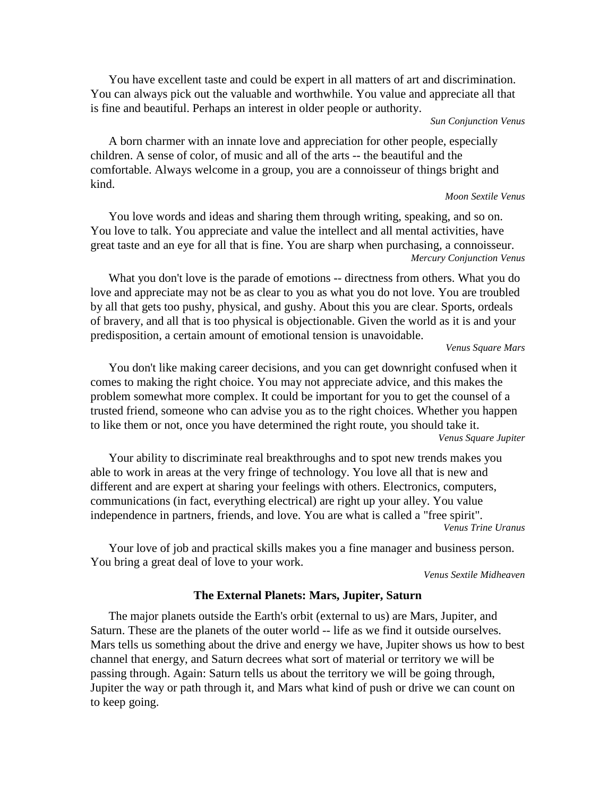You have excellent taste and could be expert in all matters of art and discrimination. You can always pick out the valuable and worthwhile. You value and appreciate all that is fine and beautiful. Perhaps an interest in older people or authority.

## *Sun Conjunction Venus*

A born charmer with an innate love and appreciation for other people, especially children. A sense of color, of music and all of the arts -- the beautiful and the comfortable. Always welcome in a group, you are a connoisseur of things bright and kind.

#### *Moon Sextile Venus*

You love words and ideas and sharing them through writing, speaking, and so on. You love to talk. You appreciate and value the intellect and all mental activities, have great taste and an eye for all that is fine. You are sharp when purchasing, a connoisseur. *Mercury Conjunction Venus*

What you don't love is the parade of emotions -- directness from others. What you do love and appreciate may not be as clear to you as what you do not love. You are troubled by all that gets too pushy, physical, and gushy. About this you are clear. Sports, ordeals of bravery, and all that is too physical is objectionable. Given the world as itis and your predisposition, a certain amount of emotional tension is unavoidable.

## *Venus Square Mars*

You don't like making career decisions, and you can get downright confused when it comes to making the right choice. You may not appreciate advice, and this makes the problem somewhat more complex. It could be important for you to get the counsel of a trusted friend, someone who can advise you as to the right choices. Whether you happen to like them or not, once you have determined the right route, you should take it. *Venus Square Jupiter*

Your ability to discriminate real breakthroughs and to spot new trends makes you able to work in areas at the very fringe of technology. You love all that is new and different and are expert at sharing your feelings with others. Electronics, computers, communications (in fact, everything electrical) are right up your alley. You value independence in partners, friends, and love. You are what is called a "free spirit". *Venus Trine Uranus*

Your love of job and practical skills makes you a fine manager and business person. You bring a great deal of love to your work.

*Venus Sextile Midheaven*

## **The External Planets: Mars, Jupiter, Saturn**

The major planets outside the Earth's orbit (external to us) are Mars, Jupiter, and Saturn. These are the planets of the outer world -- life as we find it outside ourselves. Mars tells us something about the drive and energy we have, Jupiter shows us how to best channel that energy, and Saturn decrees what sort of material or territory we will be passing through. Again: Saturn tells us about the territory we will be going through, Jupiter the way or path through it, and Mars what kind of push or drive we can count on to keep going.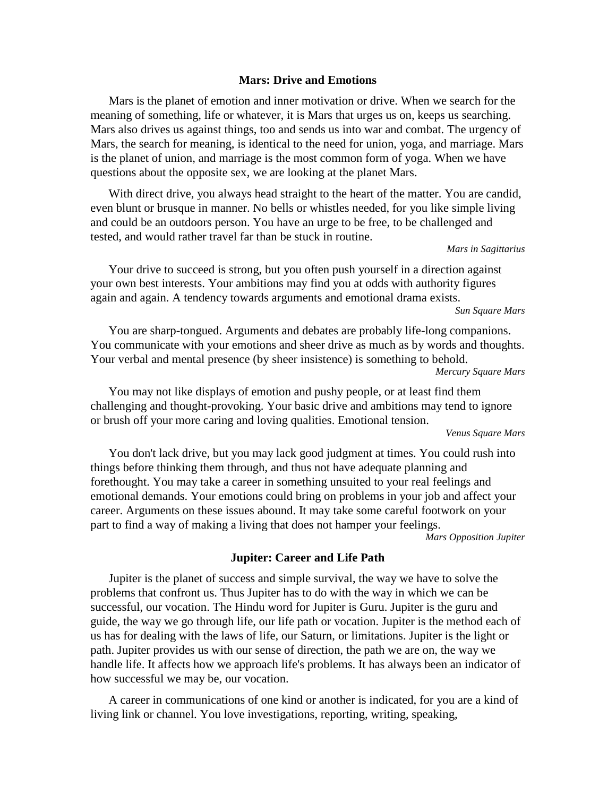## **Mars: Drive and Emotions**

Mars is the planet of emotion and inner motivation or drive. When we search for the meaning of something, life or whatever, it is Mars that urges us on, keeps us searching. Mars also drives us against things, too and sends us into war and combat. The urgency of Mars, the search for meaning, is identical to the need for union, yoga, and marriage. Mars is the planet of union, and marriage is the most common form of yoga. When we have questions about the opposite sex, we are looking at the planet Mars.

With direct drive, you always head straight to the heart of the matter. You are candid, even blunt or brusque in manner. No bells or whistles needed, for you like simple living and could be an outdoors person. You have an urge to be free, to be challenged and tested, and would rather travel far than be stuck in routine.

#### *Mars in Sagittarius*

Your drive to succeed is strong, but you often push yourself in a direction against your own best interests. Your ambitions may find you at odds with authority figures again and again. A tendency towards arguments and emotional drama exists.

*Sun Square Mars*

You are sharp-tongued. Arguments and debates are probably life-long companions. You communicate with your emotions and sheer drive as much as by words and thoughts. Your verbal and mental presence (by sheer insistence) is something to behold.

*Mercury Square Mars*

You may not like displays of emotion and pushy people, or at least find them challenging and thought-provoking. Your basic drive and ambitions may tend to ignore or brush off your more caring and loving qualities. Emotional tension.

#### *Venus Square Mars*

You don't lack drive, but you may lack good judgment at times. You could rush into things before thinking them through, and thus not have adequate planning and forethought. You may take a career in something unsuited to your real feelings and emotional demands. Your emotions could bring on problems in your job and affect your career. Arguments on these issues abound. It may take some careful footwork on your part to find a way of making a living that does not hamper your feelings.

*Mars Opposition Jupiter*

## **Jupiter: Career and Life Path**

Jupiter is the planet of success and simple survival, the way we have to solve the problems that confront us. Thus Jupiter has to do with the way in which we can be successful, our vocation. The Hindu word for Jupiter is Guru. Jupiter is the guru and guide, the way we go through life, our life path or vocation. Jupiter is the method each of us has for dealing with the laws of life, our Saturn, or limitations. Jupiter is the light or path. Jupiter provides us with our sense of direction, the path we are on, the way we handle life. It affects how we approach life's problems. It has always been an indicator of how successful we may be, our vocation.

A career in communications of one kind or another is indicated, for you are a kind of living link or channel. You love investigations, reporting, writing, speaking,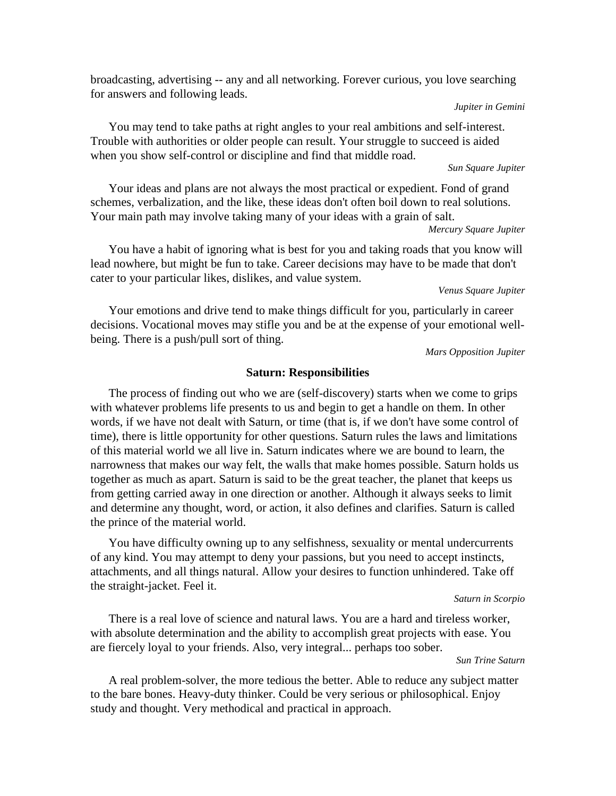broadcasting, advertising -- any and all networking. Forever curious, you love searching for answers and following leads.

## *Jupiter in Gemini*

You may tend to take paths at right angles to your real ambitions and self-interest. Trouble with authorities or older people can result. Your struggle to succeed is aided when you show self-control or discipline and find that middle road.

## *Sun Square Jupiter*

Your ideas and plans are not always the most practical or expedient. Fond of grand schemes, verbalization, and the like, these ideas don't often boil down to real solutions. Your main path may involve taking many of your ideas with a grain of salt.

#### *Mercury Square Jupiter*

You have a habit of ignoring what is best for you and taking roads that you know will lead nowhere, but might be fun to take. Career decisions may have to be made that don't cater to your particular likes, dislikes, and value system.

## *Venus Square Jupiter*

Your emotions and drive tend to make things difficult for you, particularly in career decisions. Vocational moves may stifle you and be at the expense of your emotional well being. There is a push/pull sort of thing.

*Mars Opposition Jupiter*

## **Saturn: Responsibilities**

The process of finding out who we are (self-discovery) starts when we come to grips with whatever problems life presents to us and begin to get a handle on them. In other words, if we have not dealt with Saturn, or time (that is, if we don't have some control of time), there is little opportunity for other questions. Saturn rules the laws and limitations of this material world we alllive in. Saturn indicates where we are bound to learn, the narrowness that makes our way felt, the walls that make homes possible. Saturn holds us together as much as apart. Saturn is said to be the great teacher, the planet that keeps us from getting carried away in one direction or another. Although it always seeks to limit and determine any thought, word, or action, it also defines and clarifies. Saturn is called the prince of the material world.

You have difficulty owning up to any selfishness, sexuality or mental undercurrents of any kind. You may attempt to deny your passions, but you need to accept instincts, attachments, and all things natural. Allow your desires to function unhindered. Take off the straight-jacket. Feel it.

#### *Saturn in Scorpio*

There is a real love of science and natural laws. You are a hard and tireless worker, with absolute determination and the ability to accomplish great projects with ease. You are fiercely loyal to your friends. Also, very integral... perhaps too sober.

*Sun Trine Saturn*

A real problem-solver, the more tedious the better. Able to reduce any subject matter to the bare bones. Heavy-duty thinker. Could be very serious or philosophical. Enjoy study and thought. Very methodical and practical in approach.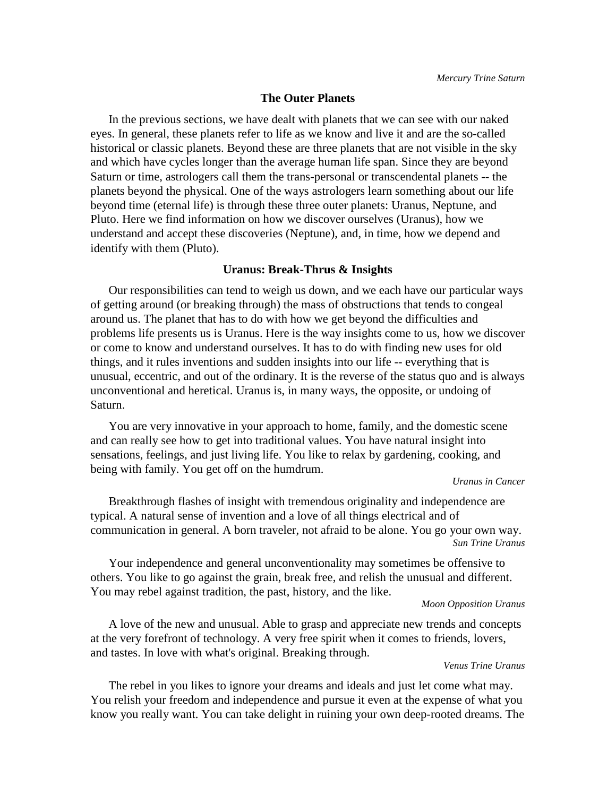## **The Outer Planets**

In the previous sections, we have dealt with planets that we can see with our naked eyes. In general, these planets refer to life as we know and live it and are the so-called historical or classic planets. Beyond these are three planets that are not visible in the sky and which have cycles longer than the average human life span. Since they are beyond Saturn or time, astrologers call them the trans-personal or transcendental planets -- the planets beyond the physical. One of the ways astrologers learn something about our life beyond time (eternal life) is through these three outer planets: Uranus, Neptune, and Pluto. Here we find information on how we discover ourselves (Uranus), how we understand and accept these discoveries (Neptune), and, in time, how we depend and identify with them (Pluto).

#### **Uranus: Break-Thrus & Insights**

Our responsibilities can tend to weigh us down, and we each have our particular ways of getting around (or breaking through) the mass of obstructions that tends to congeal around us. The planet that has to do with how we get beyond the difficulties and problems life presents us is Uranus. Here is the way insights come to us, how we discover or come to know and understand ourselves. It has to do with finding new uses for old things, and it rules inventions and sudden insights into our life -- everything that is unusual, eccentric, and out of the ordinary. It is the reverse of the status quo and is always unconventional and heretical. Uranus is, in many ways, the opposite, or undoing of Saturn.

You are very innovative in your approach to home, family, and the domestic scene and can really see how to get into traditional values. You have natural insight into sensations, feelings, and just living life. You like to relax by gardening, cooking, and being with family. You get off on the humdrum.

## *Uranus in Cancer*

Breakthrough flashes of insight with tremendous originality and independence are typical. A natural sense of invention and a love of all things electrical and of communication in general. A born traveler, not afraid to be alone. You go your own way. *Sun Trine Uranus*

Your independence and general unconventionality may sometimes be offensive to others. You like to go against the grain, break free, and relish the unusual and different. You may rebel against tradition, the past, history, and the like.

#### *Moon Opposition Uranus*

A love of the new and unusual. Able to grasp and appreciate new trends and concepts at the very forefront of technology. A very free spirit when it comes to friends, lovers, and tastes. In love with what's original. Breaking through.

## *Venus Trine Uranus*

The rebel in you likes to ignore your dreams and ideals and just let come what may. You relish your freedom and independence and pursue it even at the expense of what you know you really want. You can take delight in ruining your own deep-rooted dreams. The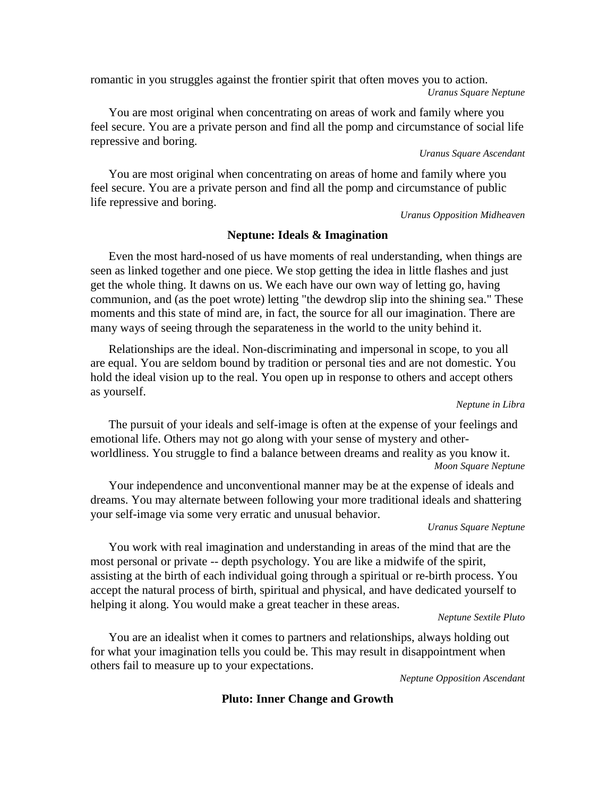romantic in you struggles against the frontier spirit that often moves you to action. *Uranus Square Neptune*

You are most original when concentrating on areas of work and family where you feel secure. You are a private person and find all the pomp and circumstance of social life repressive and boring.

#### *Uranus Square Ascendant*

You are most original when concentrating on areas of home and family where you feel secure. You are a private person and find all the pomp and circumstance of public life repressive and boring.

## *Uranus Opposition Midheaven*

## **Neptune: Ideals & Imagination**

Even the most hard-nosed of us have moments of real understanding, when things are seen as linked together and one piece. We stop getting the idea in little flashes and just get the whole thing. It dawns on us. We each have our own way of letting go, having communion, and (as the poet wrote) letting "the dewdrop slip into the shining sea." These moments and this state of mind are, in fact, the source for all our imagination. There are many ways of seeing through the separateness in the world to the unity behind it.

Relationships are the ideal. Non-discriminating and impersonal in scope, to you all are equal. You are seldom bound by tradition or personal ties and are not domestic. You hold the ideal vision up to the real. You open up in response to others and accept others as yourself.

#### *Neptune in Libra*

The pursuit of your ideals and self-image is often at the expense of your feelings and emotional life. Others may not go along with your sense of mystery and other worldliness. You struggle to find a balance between dreams and reality as you know it. *Moon Square Neptune*

Your independence and unconventional manner may be at the expense of ideals and dreams. You may alternate between following your more traditional ideals and shattering your self-image via some very erratic and unusual behavior.

## *Uranus Square Neptune*

You work with real imagination and understanding in areas of the mind that are the most personal or private -- depth psychology. You are like a midwife of the spirit, assisting at the birth of each individual going through a spiritual or re-birth process. You accept the natural process of birth, spiritual and physical, and have dedicated yourself to helping it along. You would make a great teacher in these areas.

#### *Neptune Sextile Pluto*

You are an idealist when it comes to partners and relationships, always holding out for what your imagination tells you could be. This may result in disappointment when others fail to measure up to your expectations.

*Neptune Opposition Ascendant*

## **Pluto: Inner Change and Growth**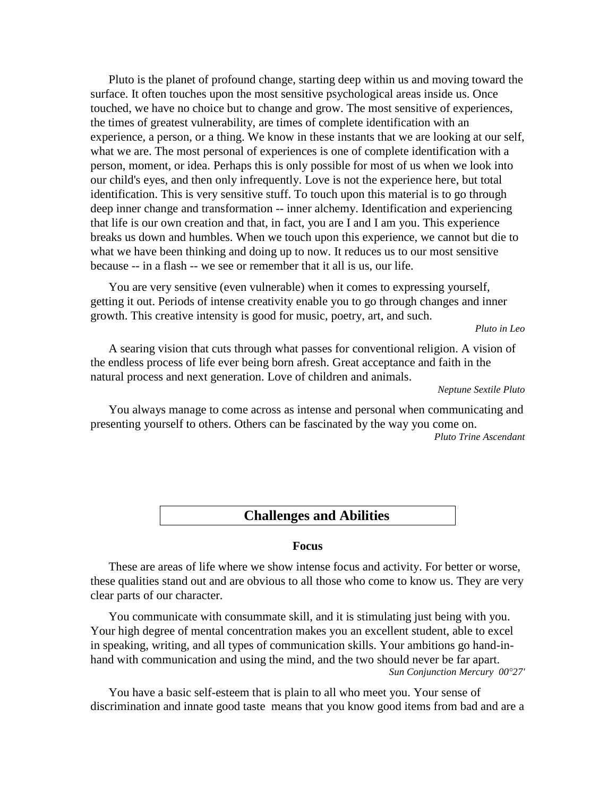Pluto is the planet of profound change, starting deep within us and moving toward the surface. It often touches upon the most sensitive psychological areas inside us. Once touched, we have no choice but to change and grow. The most sensitive of experiences, the times of greatest vulnerability, are times of complete identification with an experience, a person, or a thing. We know in these instants that we are looking at our self, what we are. The most personal of experiences is one of complete identification with a person, moment, or idea. Perhaps this is only possible for most of us when we look into our child's eyes, and then only infrequently. Love is not the experience here, but total identification. This is very sensitive stuff. To touch upon this material is to go through deep inner change and transformation -- inner alchemy. Identification and experiencing that life is our own creation and that, in fact, you are I and I am you. This experience breaks us down and humbles. When we touch upon this experience, we cannot but die to what we have been thinking and doing up to now. It reduces us to our most sensitive because -- in a flash -- we see or remember that it all is us, our life.

You are very sensitive (even vulnerable) when it comes to expressing yourself, getting it out. Periods of intense creativity enable you to go through changes and inner growth. This creative intensity is good for music, poetry, art, and such.

*Pluto in Leo*

A searing vision that cuts through what passes for conventional religion. A vision of the endless process of life ever being born afresh. Great acceptance and faith in the natural process and next generation. Love of children and animals.

*Neptune Sextile Pluto*

You always manage to come across as intense and personal when communicating and presenting yourself to others. Others can be fascinated by the way you come on.

*Pluto Trine Ascendant*

# **Challenges and Abilities**

## **Focus**

These are areas of life where we show intense focus and activity. For better or worse, these qualities stand out and are obvious to all those who come to know us. They are very clear parts of our character.

You communicate with consummate skill, and it is stimulating just being with you. Your high degree of mental concentration makes you an excellent student, able to excel in speaking, writing, and all types of communication skills. Your ambitions go hand-in hand with communication and using the mind, and the two should never be far apart. *Sun Conjunction Mercury 00°27'*

You have a basic self-esteem that is plain to all who meet you. Your sense of discrimination and innate good taste means that you know good items from bad and are a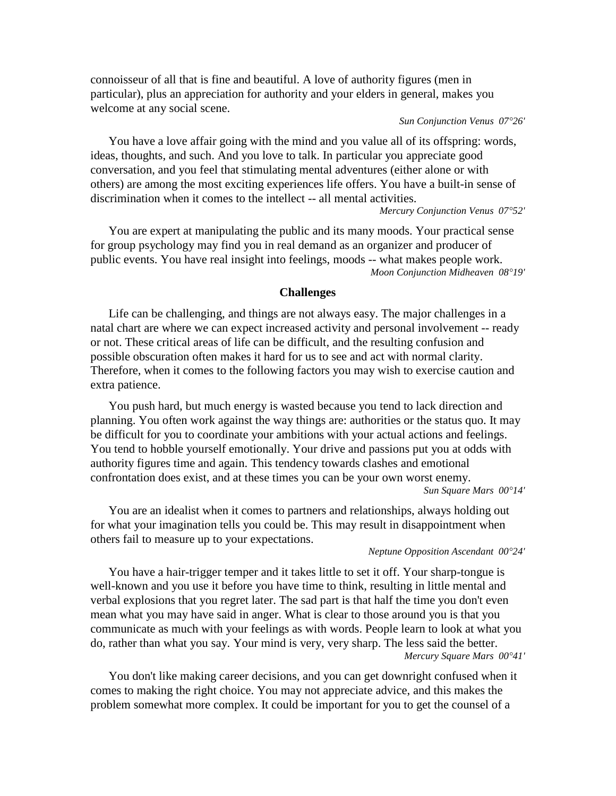connoisseur of all that is fine and beautiful. A love of authority figures (men in particular), plus an appreciation for authority and your elders in general, makes you welcome at any social scene.

*Sun Conjunction Venus 07°26'*

You have a love affair going with the mind and you value all of its offspring: words, ideas, thoughts, and such. And you love to talk. In particular you appreciate good conversation, and you feel that stimulating mental adventures (either alone or with others) are among the most exciting experiences life offers. You have a built-in sense of discrimination when it comes to the intellect -- all mental activities.

*Mercury Conjunction Venus 07°52'*

You are expert at manipulating the public and its many moods. Your practical sense for group psychology may find you in real demand as an organizer and producer of public events. You have real insight into feelings, moods -- what makes people work. *Moon Conjunction Midheaven 08°19'*

## **Challenges**

Life can be challenging, and things are not always easy. The major challenges in a natal chart are where we can expect increased activity and personal involvement -- ready or not. These critical areas of life can be difficult, and the resulting confusion and possible obscuration often makes ithard for us to see and act with normal clarity. Therefore, when it comes to the following factors you may wish to exercise caution and extra patience.

You push hard, but much energy is wasted because you tend to lack direction and planning. You often work against the way things are: authorities or the status quo. It may be difficult for you to coordinate your ambitions with your actual actions and feelings. You tend to hobble yourself emotionally. Your drive and passions put you at odds with authority figures time and again. This tendency towards clashes and emotional confrontation does exist, and at these times you can be your own worst enemy. *Sun Square Mars 00°14'*

You are an idealist when it comes to partners and relationships, always holding out for what your imagination tells you could be. This may result in disappointment when others fail to measure up to your expectations.

#### *Neptune Opposition Ascendant 00°24'*

You have a hair-trigger temper and it takes little to set it off. Your sharp-tongue is well-known and you use it before you have time to think, resulting in little mental and verbal explosions that you regret later. The sad part is that half the time you don't even mean what you may have said in anger. What is clear to those around you is that you communicate as much with your feelings as with words. People learn to look at what you do, rather than what you say.Your mind is very, very sharp. The less said the better. *Mercury Square Mars 00°41'*

You don't like making career decisions, and you can get downright confused when it comes to making the right choice. You may not appreciate advice, and this makes the problem somewhat more complex. It could be important for you to get the counsel of a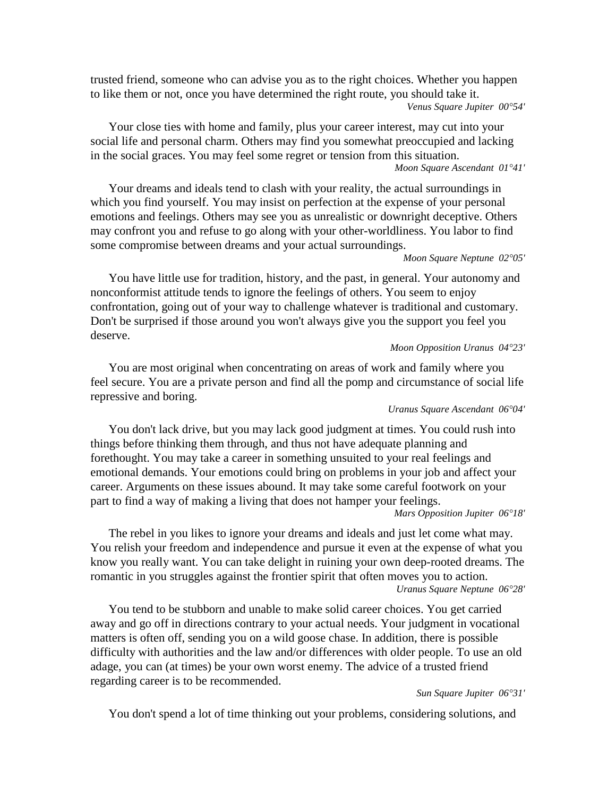trusted friend, someone who can advise you as to the right choices. Whether you happen to like them or not, once you have determined the right route, you should take it. *Venus Square Jupiter 00°54'*

Your close ties with home and family, plus your career interest, may cut into your social life and personal charm. Others may find you somewhat preoccupied and lacking in the social graces. You may feel some regret or tension from this situation. *Moon Square Ascendant 01°41'*

Your dreams and ideals tend to clash with your reality, the actual surroundings in which you find yourself. You may insist on perfection at the expense of your personal emotions and feelings. Others may see you as unrealistic or downright deceptive. Others may confront you and refuse to go along with your other-worldliness. You labor to find some compromise between dreams and your actual surroundings.

*Moon Square Neptune 02°05'*

You have little use for tradition, history, and the past, in general. Your autonomy and nonconformist attitude tends to ignore the feelings of others. You seem to enjoy confrontation, going out of your way to challenge whatever is traditional and customary. Don't be surprised if those around you won't always give you the support you feel you deserve.

## *Moon Opposition Uranus 04°23'*

You are most original when concentrating on areas of work and family where you feel secure. You are a private person and find all the pomp and circumstance of social life repressive and boring.

## *Uranus Square Ascendant 06°04'*

You don't lack drive, but you may lack good judgment at times. You could rush into things before thinking them through, and thus not have adequate planning and forethought. You may take a career in something unsuited to your real feelings and emotional demands. Your emotions could bring on problems in your job and affect your career. Arguments on these issues abound. It may take some careful footwork on your part to find a way of making a living that does not hamper your feelings.

## *Mars Opposition Jupiter 06°18'*

The rebel in you likes to ignore your dreams and ideals and just let come what may. You relish your freedom and independence and pursue it even at the expense of what you know you really want. You can take delight in ruining your own deep-rooted dreams. The romantic in you struggles against the frontier spirit that often moves you to action. *Uranus Square Neptune 06°28'*

You tend to be stubborn and unable to make solid career choices. You get carried away and go off in directions contrary to your actual needs. Your judgment in vocational matters is often off, sending you on a wild goose chase. In addition, there is possible difficulty with authorities and the law and/or differences with older people. To use an old adage, you can (at times) be your own worst enemy. The advice of a trusted friend regarding career is to be recommended.

#### *Sun Square Jupiter 06°31'*

You don't spend a lot of time thinking out your problems, considering solutions, and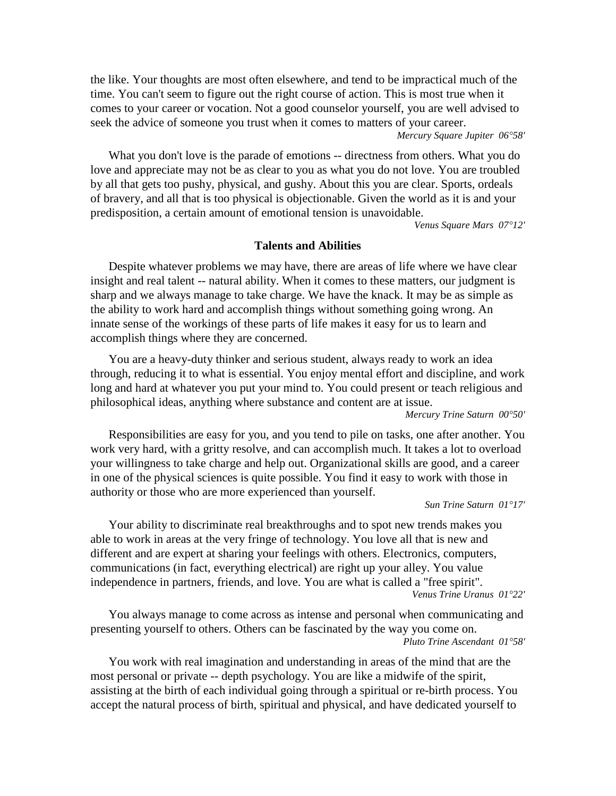the like. Your thoughts are most often elsewhere, and tend to be impractical much of the time. You can't seem to figure out the right course of action. This is most true when it comes to your career or vocation. Not a good counselor yourself, you are well advised to seek the advice of someone you trust when it comes to matters of your career. *Mercury Square Jupiter 06°58'*

What you don't love is the parade of emotions -- directness from others. What you do love and appreciate may not be as clear to you as what you do not love. You are troubled by all that gets too pushy, physical, and gushy. About this you are clear. Sports, ordeals of bravery, and all that is too physical is objectionable. Given the world as itis and your predisposition, a certain amount of emotional tension is unavoidable.

*Venus Square Mars 07°12'*

## **Talents and Abilities**

Despite whatever problems we may have, there are areas of life where we have clear insight and real talent -- natural ability. When it comes to these matters, our judgment is sharp and we always manage to take charge. We have the knack. It may be as simple as the ability to work hard and accomplish things without something going wrong. An innate sense of the workings of these parts of life makes it easy for us to learn and accomplish things where they are concerned.

You are a heavy-duty thinker and serious student, always ready to work an idea through, reducing it to what is essential. You enjoy mental effort and discipline, and work long and hard at whatever you put your mind to. You could present or teach religious and philosophical ideas, anything where substance and content are at issue.

*Mercury Trine Saturn 00°50'*

Responsibilities are easy for you, and you tend to pile on tasks, one after another. You work very hard, with a gritty resolve, and can accomplish much. It takes a lot to overload your willingness to take charge and help out. Organizational skills are good, and a career in one of the physical sciences is quite possible. You find it easy to work with those in authority or those who are more experienced than yourself.

*Sun Trine Saturn 01°17'*

Your ability to discriminate real breakthroughs and to spot new trends makes you able to work in areas at the very fringe of technology. You love all that is new and different and are expert at sharing your feelings with others. Electronics, computers, communications (in fact, everything electrical) are right up your alley. You value independence in partners, friends, and love. You are what is called a "free spirit". *Venus Trine Uranus 01°22'*

You always manage to come across as intense and personal when communicating and presenting yourself to others. Others can be fascinated by the way you come on. *Pluto Trine Ascendant 01°58'*

You work with real imagination and understanding in areas of the mind that are the most personal or private -- depth psychology. You are like a midwife of the spirit, assisting at the birth of each individual going through a spiritual or re-birth process. You accept the natural process of birth, spiritual and physical, and have dedicated yourself to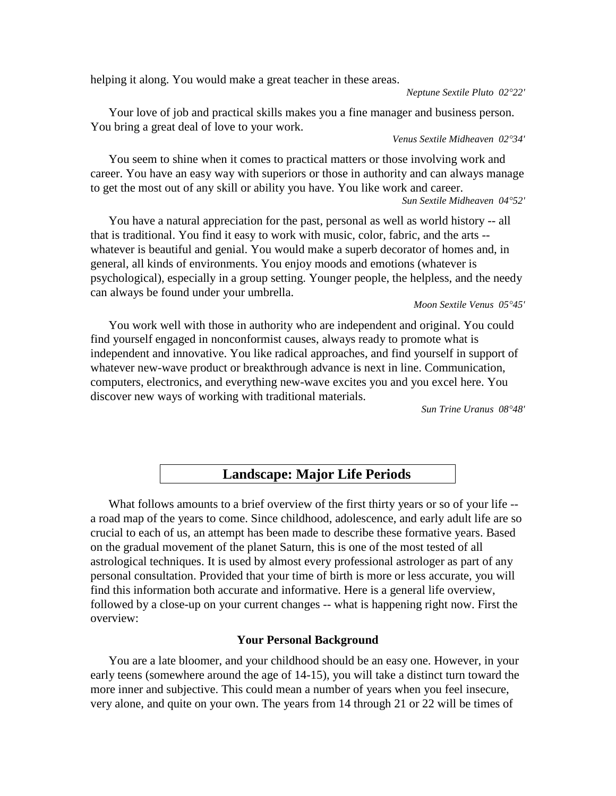helping it along. You would make a great teacher in these areas.

*Neptune Sextile Pluto 02°22'*

Your love of job and practical skills makes you a fine manager and business person. You bring a great deal of love to your work.

*Venus Sextile Midheaven 02°34'*

You seem to shine when it comes to practical matters or those involving work and career. You have an easy way with superiors or those in authority and can always manage to get the most out of any skill or ability you have. You like work and career.

*Sun Sextile Midheaven 04°52'*

You have a natural appreciation for the past, personal as well as world history -- all that is traditional. You find it easy to work with music, color, fabric, and the arts - whatever is beautiful and genial. You would make a superb decorator of homes and, in general, all kinds of environments. You enjoy moods and emotions (whatever is psychological), especially in a group setting. Younger people, the helpless, and the needy can always be found under your umbrella.

## *Moon Sextile Venus 05°45'*

You work well with those in authority who are independent and original. You could find yourself engaged in nonconformist causes, always ready to promote what is independent and innovative. You like radical approaches, and find yourself in support of whatever new-wave product or breakthrough advance is next in line. Communication, computers, electronics, and everything new-wave excites you and you excel here. You discover new ways of working with traditional materials.

*Sun Trine Uranus 08°48'*

# **Landscape: Major Life Periods**

What follows amounts to a brief overview of the first thirty years or so of your life - a road map of the years to come. Since childhood, adolescence, and early adult life are so crucial to each of us, an attempt has been made to describe these formative years. Based on the gradual movement of the planet Saturn, this is one of the most tested of all astrological techniques. It is used by almost every professional astrologer as part of any personal consultation. Provided that your time of birth is more or less accurate, you will find this information both accurate and informative. Here is a general life overview, followed by a close-up on your current changes -- what is happening right now. First the overview:

## **Your Personal Background**

You are a late bloomer, and your childhood should be an easy one. However, in your early teens (somewhere around the age of 14-15), you will take a distinct turn toward the more inner and subjective. This could mean a number of years when you feel insecure, very alone, and quite on your own. The years from 14 through 21 or 22 will be times of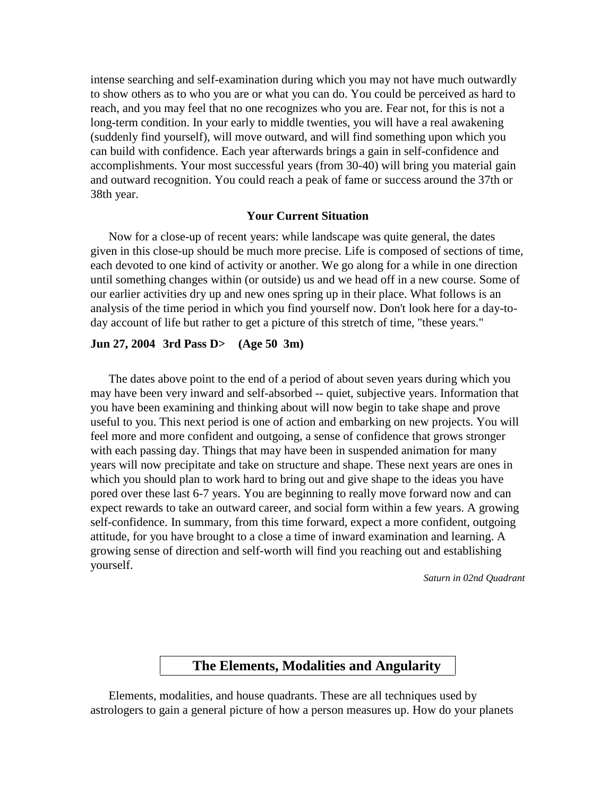intense searching and self-examination during which you may not have much outwardly to show others as to who you are or what you can do. You could be perceived as hard to reach, and you may feel that no one recognizes who you are. Fear not, for this is not a long-term condition. In your early to middle twenties, you will have a real awakening (suddenly find yourself), will move outward, and will find something upon which you can build with confidence. Each year afterwards brings a gain in self-confidence and accomplishments. Your most successful years (from 30-40) will bring you material gain and outward recognition. You could reach a peak of fame or success around the 37th or 38th year.

# **Your Current Situation**

Now for a close-up of recent years: while landscape was quite general, the dates given in this close-up should be much more precise. Life is composed of sections of time, each devoted to one kind of activity or another. We go along for a while in one direction until something changes within (or outside) us and we head off in a new course. Some of our earlier activities dry up and new ones spring up in their place. What follows is an analysis of the time period in which you find yourself now. Don't look here for a day-to day account of life but rather to get a picture of this stretch of time, "these years."

# **Jun 27, 2004 3rd Pass D> (Age 50 3m)**

The dates above point to the end of a period of about seven years during which you may have been very inward and self-absorbed -- quiet, subjective years. Information that you have been examining and thinking about will now begin to take shape and prove useful to you. This next period is one of action and embarking on new projects. You will feel more and more confident and outgoing, a sense of confidence that grows stronger with each passing day. Things that may have been in suspended animation for many years will now precipitate and take on structure and shape. These next years are ones in which you should plan to work hard to bring out and give shape to the ideas you have pored over these last 6-7 years. You are beginning to really move forward now and can expect rewards to take an outward career, and social form within a few years. A growing self-confidence. In summary, from this time forward, expect a more confident, outgoing attitude, for you have brought to a close a time of inward examination and learning. A growing sense of direction and self-worth will find you reaching out and establishing yourself.

*Saturn in 02nd Quadrant*

# **The Elements, Modalities and Angularity**

Elements, modalities, and house quadrants. These are all techniques used by astrologers to gain a general picture of how a person measures up. How do your planets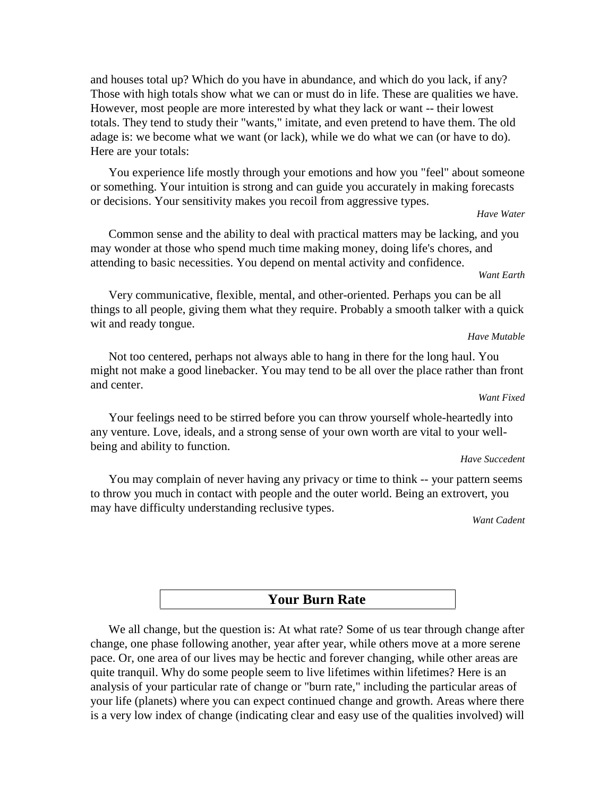and houses total up? Which do you have in abundance, and which do you lack, if any? Those with high totals show what we can or must do in life. These are qualities we have. However, most people are more interested by what they lack or want -- their lowest totals. They tend to study their "wants," imitate, and even pretend to have them. The old adage is: we become what we want (or lack), while we do what we can (or have to do). Here are your totals:

You experience life mostly through your emotions and how you "feel" about someone or something. Your intuition is strong and can guide you accurately in making forecasts or decisions. Your sensitivity makes you recoil from aggressive types.

*Have Water*

Common sense and the ability to deal with practical matters may be lacking, and you may wonder at those who spend much time making money, doing life's chores, and attending to basic necessities. You depend on mental activity and confidence.

#### *Want Earth*

Very communicative, flexible, mental, and other-oriented. Perhaps you can be all things to all people, giving them what they require. Probably a smooth talker with a quick wit and ready tongue.

#### *Have Mutable*

Not too centered, perhaps not always able to hang in there for the long haul. You might not make a good linebacker. You may tend to be all over the place rather than front and center.

#### *Want Fixed*

Your feelings need to be stirred before you can throw yourself whole-heartedly into any venture. Love, ideals, and a strong sense of your own worth are vital to your well being and ability to function.

#### *Have Succedent*

You may complain of never having any privacy or time to think -- your pattern seems to throw you much in contact with people and the outer world. Being an extrovert, you may have difficulty understanding reclusive types.

*Want Cadent*

# **Your Burn Rate**

We all change, but the question is: At what rate? Some of us tear through change after change, one phase following another, year after year, while others move at a more serene pace. Or, one area of our lives may be hectic and forever changing, while other areas are quite tranquil. Why do some people seem to live lifetimes within lifetimes? Here is an analysis of your particular rate of change or "burn rate," including the particular areas of your life (planets) where you can expect continued change and growth. Areas where there is a very low index of change (indicating clear and easy use of the qualities involved) will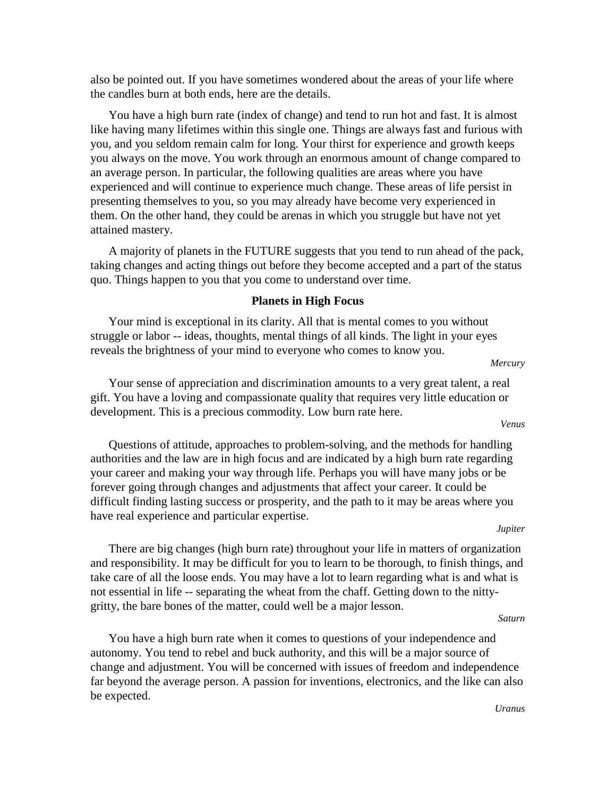also be pointed out. If you have sometimes wondered about the areas of your life where the candles burn at both ends, here are the details.

You have a high burn rate (index of change) and tend to run hot and fast. It is almost like having many lifetimes within this single one. Things are always fast and furious with you, and you seldom remain calm for long. Your thirst for experience and growth keeps you always on the move. You work through an enormous amount of change compared to an average person. In particular, the following qualities are areas where you have experienced and will continue to experience much change. These areas of life persist in presenting themselves to you, so you may already have become very experienced in them. On the other hand, they could be arenas in which you struggle but have not yet attained mastery.

A majority of planets in the FUTURE suggests that you tend to run ahead of the pack, taking changes and acting things out before they become accepted and a part of the status quo. Things happen to you that you come to understand over time.

#### **Planets in High Focus**

Your mind is exceptional in its clarity. All that is mental comes to you without struggle or labor -- ideas, thoughts, mental things of all kinds. The light in your eyes reveals the brightness of your mind to everyone who comes to know you.

```
Mercury
```
*Venus*

Your sense of appreciation and discrimination amounts to a very great talent, a real gift. You have a loving and compassionate quality that requires very little education or development. This is a precious commodity. Low burn rate here.

Questions of attitude, approaches to problem-solving, and the methods for handling authorities and the law are in high focus and are indicated by a high burn rate regarding your career and making your way through life. Perhaps you will have many jobs or be forever going through changes and adjustments that affect your career. It could be difficult finding lasting success or prosperity, and the path to it may be areas where you have real experience and particular expertise.

*Jupiter*

There are big changes (high burn rate) throughout your life in matters of organization and responsibility. It may be difficult for you to learn to be thorough, to finish things, and take care of all the loose ends. You may have a lot to learn regarding what is and what is not essential in life -- separating the wheat from the chaff. Getting down to the nitty gritty, the bare bones of the matter, could well be a major lesson.

*Saturn*

You have a high burn rate when it comes to questions of your independence and autonomy. You tend to rebel and buck authority, and this will be a major source of change and adjustment. You will be concerned with issues of freedom and independence far beyond the average person. A passion for inventions, electronics, and the like can also be expected.

*Uranus*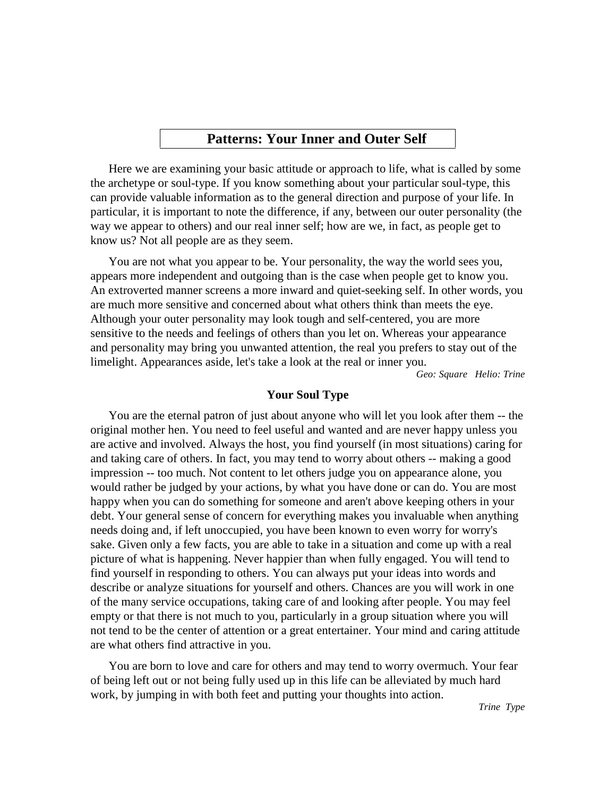# **Patterns: Your Inner and Outer Self**

Here we are examining your basic attitude or approach to life, what is called by some the archetype or soul-type. If you know something about your particular soul-type, this can provide valuable information as to the general direction and purpose of your life. In particular, it is important to note the difference, if any, between our outer personality (the way we appear to others) and our real inner self; how are we, in fact, as people get to know us? Not all people are as they seem.

You are not what you appear to be. Your personality, the way the world sees you, appears more independent and outgoing than is the case when people get to know you. An extroverted manner screens a more inward and quiet-seeking self. In other words, you are much more sensitive and concerned about what others think than meets the eye. Although your outer personality may look tough and self-centered, you are more sensitive to the needs and feelings of others than you let on. Whereas your appearance and personality may bring you unwanted attention, the real you prefers to stay out of the limelight. Appearances aside, let's take a look at the real or inner you.

*Geo: Square Helio: Trine*

## **Your Soul Type**

You are the eternal patron of just about anyone who will let you look after them -- the original mother hen. You need to feel useful and wanted and are never happy unless you are active and involved. Always the host, you find yourself (in most situations) caring for and taking care of others. In fact, you may tend to worry about others -- making a good impression -- too much. Not content to let others judge you on appearance alone, you would rather be judged by your actions, by what you have done or can do. You are most happy when you can do something for someone and aren't above keeping others in your debt. Your general sense of concern for everything makes you invaluable when anything needs doing and, if left unoccupied, you have been known to even worry for worry's sake. Given only a few facts, you are able to take in a situation and come up with a real picture of what is happening. Never happier than when fully engaged. You will tend to find yourself in responding to others. You can always put your ideas into words and describe or analyze situations for yourself and others. Chances are you will work in one of the many service occupations, taking care of and looking after people. You may feel empty or that there is not much to you, particularly in a group situation where you will not tend to be the center of attention or a great entertainer. Your mind and caring attitude are what others find attractive in you.

You are born to love and care for others and may tend to worry overmuch. Your fear of being left out or not being fully used up in this life can be alleviated by much hard work, by jumping in with both feet and putting your thoughts into action.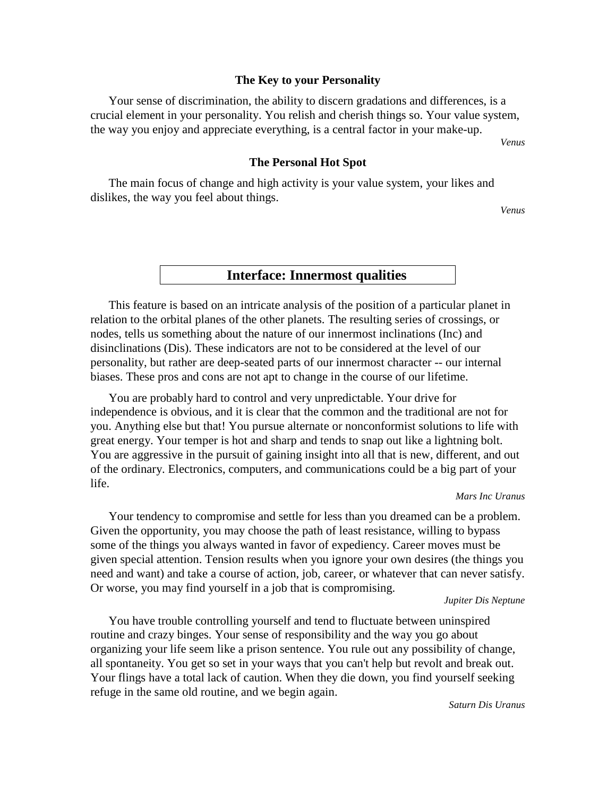#### **The Key to your Personality**

Your sense of discrimination, the ability to discern gradations and differences, is a crucial element in your personality. You relish and cherish things so. Your value system, the way you enjoy and appreciate everything, is a central factor in your make-up.

*Venus*

## **The Personal Hot Spot**

The main focus of change and high activity is your value system, your likes and dislikes, the way you feel about things.

*Venus*

# **Interface: Innermost qualities**

This feature is based on an intricate analysis of the position of a particular planet in relation to the orbital planes of the other planets. The resulting series of crossings, or nodes, tells us something about the nature of our innermost inclinations (Inc) and disinclinations (Dis). These indicators are not to be considered at the level of our personality, but rather are deep-seated parts of our innermost character -- our internal biases. These pros and cons are not apt to change in the course of our lifetime.

You are probably hard to control and very unpredictable. Your drive for independence is obvious, and it is clear that the common and the traditional are not for you. Anything else but that! You pursue alternate or nonconformist solutions to life with great energy. Your temper is hot and sharp and tends to snap out like a lightning bolt. You are aggressive in the pursuit of gaining insight into all that is new, different, and out of the ordinary. Electronics, computers, and communications could be a big part of your life.

### *Mars Inc Uranus*

Your tendency to compromise and settle for less than you dreamed can be a problem. Given the opportunity, you may choose the path of least resistance, willing to bypass some of the things you always wanted in favor of expediency. Career moves must be given special attention. Tension results when you ignore your own desires (the things you need and want) and take a course of action, job, career, or whatever that can never satisfy. Or worse, you may find yourself in a job that is compromising.

#### *Jupiter Dis Neptune*

You have trouble controlling yourself and tend to fluctuate between uninspired routine and crazy binges. Your sense of responsibility and the way you go about organizing your life seem like aprison sentence. You rule out any possibility of change, all spontaneity. You get so set in your ways that you can't help but revolt and break out. Your flings have a total lack of caution. When they die down, you find yourself seeking refuge in the same old routine, and we begin again.

*Saturn Dis Uranus*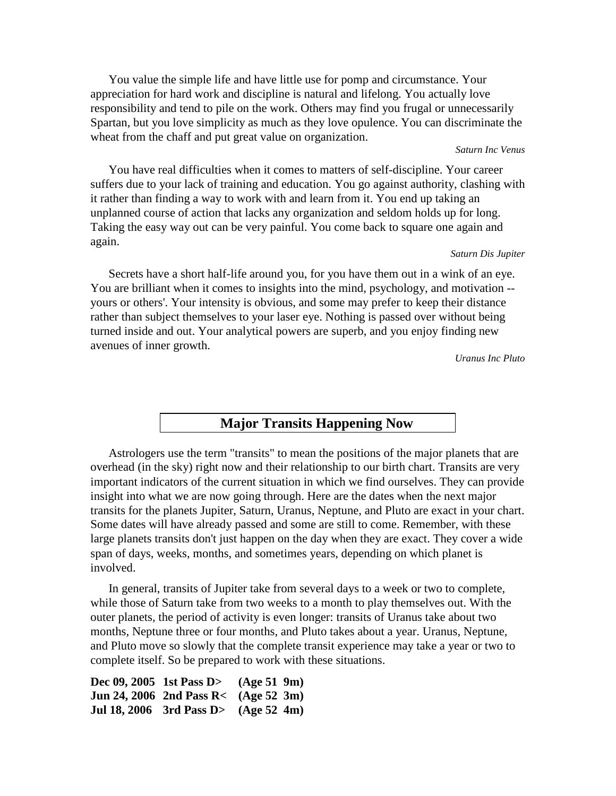You value the simple life and have little use for pomp and circumstance. Your appreciation for hard work and discipline is natural and lifelong. You actually love responsibility and tend to pile on the work. Others may find you frugal or unnecessarily Spartan, but you love simplicity as much as they love opulence. You can discriminate the wheat from the chaff and put great value on organization.

## *Saturn Inc Venus*

You have real difficulties when it comes to matters of self-discipline. Your career suffers due to your lack of training and education. You go against authority, clashing with it rather than finding a way to work with and learn from it. You end up taking an unplanned course of action that lacks any organization and seldom holds up for long. Taking the easy way out can be very painful. You come back to square one again and again.

#### *Saturn Dis Jupiter*

Secrets have a short half-life around you, for you have them out in a wink of an eye.<br>You are brilliant when it comes to insights into the mind, psychology, and motivation -yours or others'. Your intensity is obvious, and some may prefer to keep their distance rather than subject themselves to your laser eye. Nothing is passed over without being turned inside and out. Your analytical powers are superb, and you enjoy finding new avenues of inner growth.

*Uranus Inc Pluto*

# **Major Transits Happening Now**

Astrologers use the term "transits" to mean the positions of the major planets that are overhead (in the sky) right now and their relationship to our birth chart. Transits are very important indicators of the current situation in which we find ourselves. They can provide insight into what we are now going through. Here are the dates when the next major transits for the planets Jupiter, Saturn, Uranus, Neptune, and Pluto are exact in your chart. Some dates will have already passed and some are still to come. Remember, with these large planets transits don't just happen on the day when they are exact. They cover a wide span of days, weeks, months, and sometimes years, depending on which planet is involved.

In general, transits of Jupiter take from several days to a week or two to complete, while those of Saturn take from two weeks to a month to play themselves out. With the outer planets, the period of activity is even longer: transits of Uranus take about two months, Neptune three or four months, and Pluto takes about a year. Uranus, Neptune, and Pluto move so slowly that the complete transit experience may take a year or two to complete itself. So be prepared to work with these situations.

**Dec 09, 2005 1st Pass D> (Age 51 9m) Jun 24, 2006 2nd Pass R< (Age 52 3m) Jul 18, 2006 3rd Pass D> (Age 52 4m)**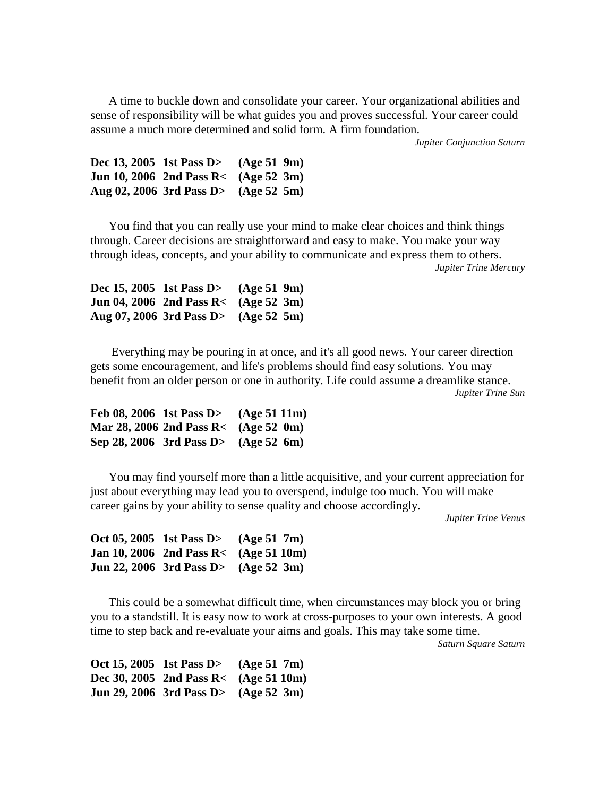A timeto buckle down and consolidate your career. Your organizational abilities and sense of responsibility will be what guides you and proves successful. Your career could assume a much more determined and solid form. A firm foundation.

*Jupiter Conjunction Saturn*

**Dec 13, 2005 1st Pass D> (Age 51 9m) Jun 10, 2006 2nd Pass R< (Age 52 3m) Aug 02, 2006 3rd Pass D> (Age 52 5m)**

You find that you can really use your mind to make clear choices and think things through. Career decisions are straightforward and easy to make. You make your way through ideas, concepts, and your ability to communicate and express them to others. *Jupiter Trine Mercury*

**Dec 15, 2005 1st Pass D> (Age 51 9m) Jun 04, 2006 2nd Pass R< (Age 52 3m) Aug 07, 2006 3rd Pass D> (Age 52 5m)**

Everything may be pouring in at once, and it's all good news. Your career direction gets some encouragement, and life's problems should find easy solutions. You may benefit from an older person or one in authority. Life could assume a dreamlike stance. *Jupiter Trine Sun*

**Feb 08, 2006 1st Pass D> (Age 51 11m) Mar 28, 2006 2nd Pass R< (Age 52 0m) Sep 28, 2006 3rd Pass D> (Age 52 6m)**

You may find yourself more than a little acquisitive, and your current appreciation for just about everything may lead you to overspend, indulge too much. You will make career gains by your ability to sense quality and choose accordingly.

*Jupiter Trine Venus*

**Oct 05, 2005 1st Pass D> (Age 51 7m) Jan 10, 2006 2nd Pass R< (Age 51 10m) Jun 22, 2006 3rd Pass D> (Age 52 3m)**

This could be a somewhat difficult time, when circumstances may block you or bring you to a standstill. It is easy now to work at cross-purposes to your own interests. A good time to step back and re-evaluate your aims and goals. This may take some time.

*Saturn Square Saturn*

**Oct 15, 2005 1st Pass D> (Age 51 7m) Dec 30, 2005 2nd Pass R< (Age 51 10m) Jun 29, 2006 3rd Pass D> (Age 52 3m)**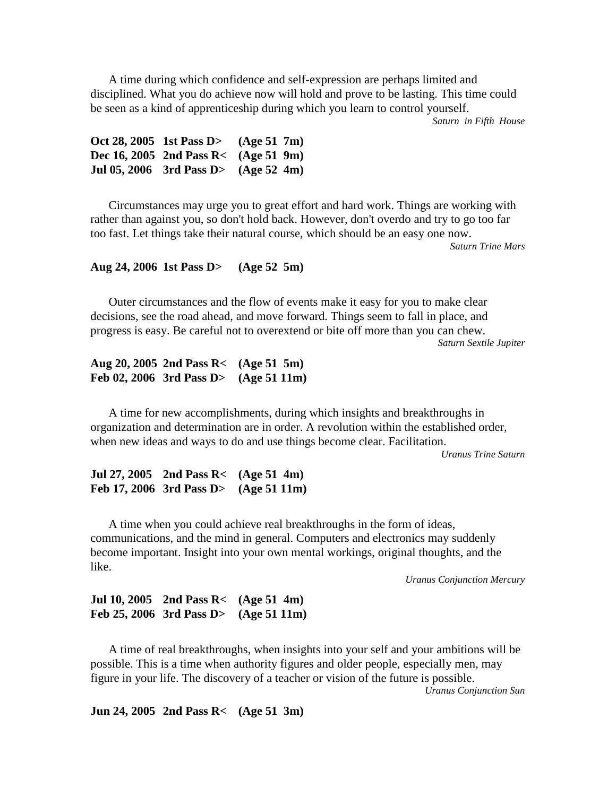A time during which confidence and self-expression are perhaps limited and disciplined. What you do achieve now will hold and prove to be lasting. This time could be seen as a kind of apprenticeship during which you learn to control yourself.

*Saturn in Fifth House*

**Oct 28, 2005 1st Pass D> (Age 51 7m) Dec 16, 2005 2nd Pass R< (Age 51 9m) Jul 05, 2006 3rd Pass D> (Age 52 4m)**

Circumstances may urge you to great effort and hard work. Things are working with rather than against you, so don't hold back. However, don't overdo and try to go too far too fast. Let things take their natural course, which should be an easy one now.

*Saturn Trine Mars*

## **Aug 24, 2006 1st Pass D> (Age 52 5m)**

Outer circumstances and the flow of events make it easy for you to make clear decisions, see the road ahead, and move forward. Things seem to fall in place, and progress is easy. Be careful not to overextend or bite off more than you can chew.

*Saturn Sextile Jupiter*

# **Aug 20, 2005 2nd Pass R< (Age 51 5m) Feb 02, 2006 3rd Pass D> (Age 51 11m)**

A time for new accomplishments, during which insights and breakthroughs in organization and determination are in order. A revolution within the established order, when new ideas and ways to do and use things become clear. Facilitation.

*Uranus Trine Saturn*

**Jul 27, 2005 2nd Pass R< (Age 51 4m) Feb 17, 2006 3rd Pass D> (Age 51 11m)**

A time when you could achieve real breakthroughs in the form of ideas, communications, and the mind in general. Computers and electronics may suddenly become important. Insight into your own mental workings, original thoughts, and the like.

*Uranus Conjunction Mercury*

**Jul 10, 2005 2nd Pass R< (Age 51 4m) Feb 25, 2006 3rd Pass D> (Age 51 11m)**

A time of real breakthroughs, when insights into your self and your ambitions will be possible. This is a time when authority figures and older people, especially men, may figure in your life. The discovery of a teacher or vision of the future is possible. *Uranus Conjunction Sun*

**Jun 24, 2005 2nd Pass R< (Age 51 3m)**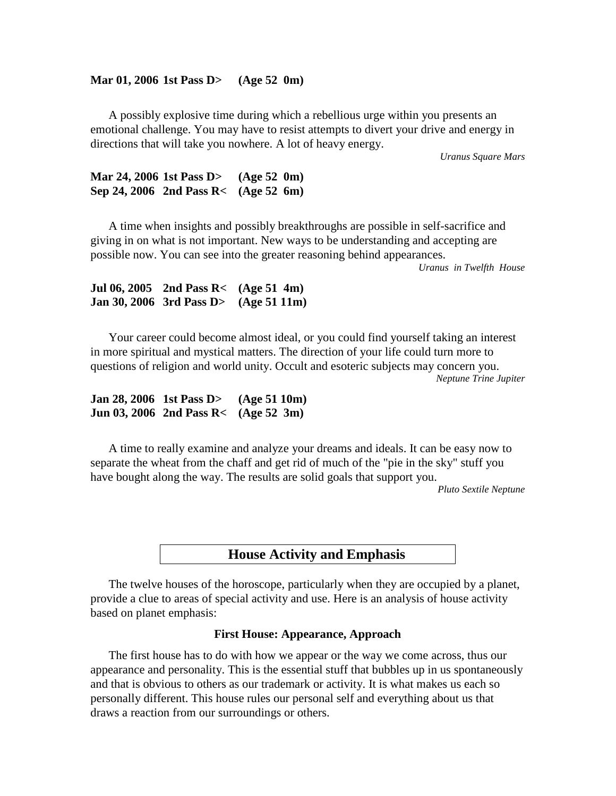## **Mar 01, 2006 1st Pass D> (Age 52 0m)**

A possibly explosive time during which a rebellious urge within you presents an emotional challenge. You may have to resist attempts to divert your drive and energy in directions that will take you nowhere. A lot of heavy energy.

*Uranus Square Mars*

**Mar 24, 2006 1st Pass D> (Age 52 0m) Sep 24, 2006 2nd Pass R< (Age 52 6m)**

A timewhen insights and possibly breakthroughs are possible in self-sacrifice and giving in on what is not important. New ways to be understanding and accepting are possible now. You can see into the greater reasoning behind appearances.

*Uranus in Twelfth House*

**Jul 06, 2005 2nd Pass R< (Age 51 4m) Jan 30, 2006 3rd Pass D> (Age 51 11m)**

Your career could become almost ideal, or you could find yourself taking an interest in more spiritual and mystical matters. The direction of your life could turn more to questions of religion and world unity. Occult and esoteric subjects may concern you. *Neptune Trine Jupiter*

**Jan 28, 2006 1st Pass D> (Age 51 10m) Jun 03, 2006 2nd Pass R< (Age 52 3m)**

A timeto really examine and analyze your dreams and ideals. It can be easy now to separate the wheat from the chaff and get rid of much of the "pie in the sky" stuff you have bought along the way. The results are solid goals that support you.

*Pluto Sextile Neptune*

**House Activity and Emphasis**

The twelve houses of the horoscope, particularly when they are occupied by a planet, provide a clue to areas of special activity and use.Here is an analysis of house activity based on planet emphasis:

## **First House: Appearance, Approach**

The first house has to do with how we appear or the way we come across, thus our appearance and personality. This is the essential stuff that bubbles up in us spontaneously and that is obvious to others as our trademark or activity. It is what makes us each so personally different. This house rules our personal self and everything about us that draws a reaction from our surroundings or others.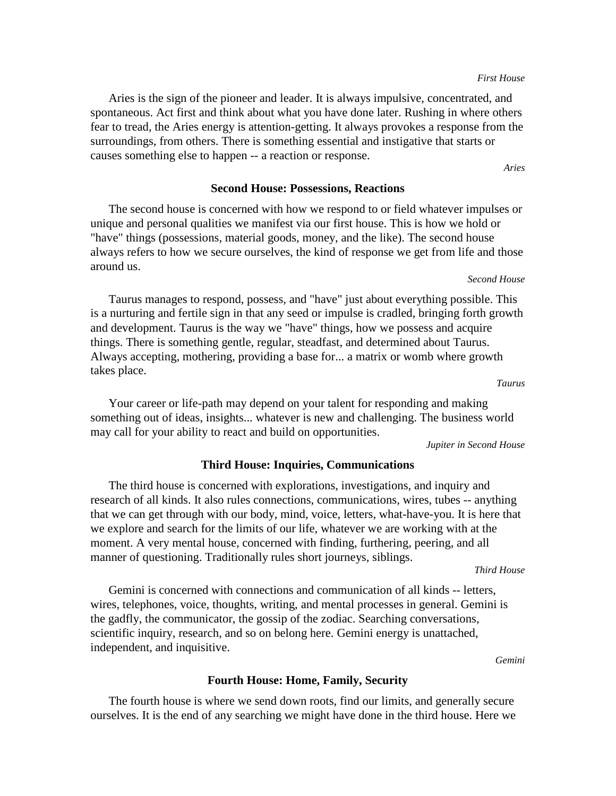Aries is the sign of the pioneer and leader. It is always impulsive, concentrated, and spontaneous. Act first and think about what you have done later. Rushing in where others fear to tread, the Aries energy is attention-getting. It always provokes a response from the surroundings, from others. There is something essential and instigative that starts or causes something else to happen -- a reaction or response.

#### *Aries*

## **Second House: Possessions, Reactions**

The second house is concerned with how we respond to or field whatever impulses or unique and personal qualities we manifest via our first house. This is how we hold or "have" things (possessions, material goods, money, and the like). The second house always refers to how we secure ourselves, the kind of response we get from life and those around us.

# Taurus manages to respond, possess, and "have" just about everything possible. This is a nurturing and fertile sign in that any seed or impulse is cradled, bringing forth growth and development. Taurus is the way we "have" things, how we possess and acquire things. There is something gentle, regular, steadfast, and determined about Taurus. Always accepting, mothering, providing a base for... a matrix or womb where growth takes place.

*Taurus*

*Second House*

Your career or life-path may depend on your talent for responding and making something out of ideas, insights... whatever is new and challenging. The business world may call for your ability to react and build on opportunities.

*Jupiter in Second House*

# **Third House: Inquiries, Communications**

The third house is concerned with explorations, investigations, and inquiry and research of all kinds. It also rules connections, communications, wires, tubes -- anything that we can get through with our body, mind, voice, letters, what-have-you. It is here that we explore and search for the limits of our life, whatever we are working with at the moment. A very mental house, concerned with finding, furthering, peering, and all manner of questioning. Traditionally rules short journeys, siblings.

*Third House*

Gemini is concerned with connections and communication of all kinds -- letters, wires, telephones, voice, thoughts, writing, and mental processes in general. Gemini is the gadfly, the communicator, the gossip of the zodiac. Searching conversations, scientific inquiry, research, and so on belong here. Gemini energy is unattached, independent, and inquisitive.

*Gemini*

## **Fourth House: Home, Family, Security**

The fourth house is where we send down roots, find our limits, and generally secure ourselves. It is the end of any searching we might have done in the third house. Here we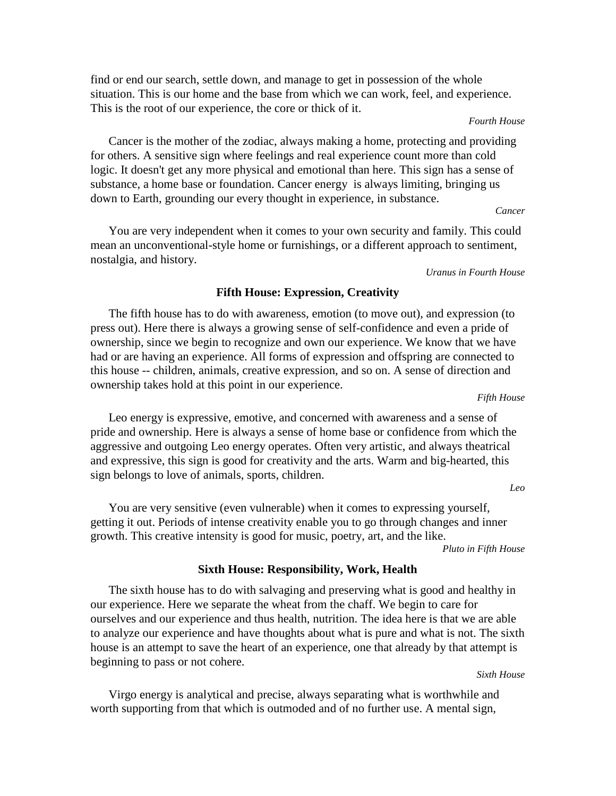find or end our search, settle down, and manage to get in possession of the whole situation. This is our home and the base from which we can work, feel, and experience. This is the root of our experience, the core or thick of it.

### *Fourth House*

Cancer is the mother of the zodiac, always making a home, protecting and providing for others. A sensitive sign where feelings and real experience count more than cold logic. It doesn't get any more physical and emotional than here. This sign has a sense of substance, a home base or foundation. Cancer energy is always limiting, bringing us down to Earth, grounding our every thought in experience, in substance.

*Cancer*

You are very independent when it comes to your own security and family. This could mean an unconventional-style home or furnishings, or a different approach to sentiment, nostalgia, and history.

*Uranus in Fourth House*

# **Fifth House: Expression, Creativity**

The fifth house has to do with awareness, emotion (to move out), and expression (to press out). Here there is always a growing sense of self-confidence and even a pride of ownership, since we begin to recognize and own our experience. We know that we have had or are having an experience. All forms of expression and offspring are connected to this house -- children, animals, creative expression, and so on. A sense of direction and ownership takes hold at this point in our experience.

#### *Fifth House*

Leo energy is expressive, emotive, and concerned with awareness and a sense of pride and ownership. Here is always a sense of home base or confidence from which the aggressive and outgoing Leo energy operates. Often very artistic, and always theatrical and expressive, this sign is good for creativity and the arts. Warm and big-hearted, this sign belongs to love of animals, sports, children.

*Leo*

You are very sensitive (even vulnerable) when it comes to expressing yourself, getting it out. Periods of intense creativity enable you to go through changes and inner growth. This creative intensity is good for music, poetry, art, and the like.

*Pluto in Fifth House*

## **Sixth House: Responsibility, Work, Health**

The sixth house has to do with salvaging and preserving what is good and healthy in our experience. Here we separate the wheat from the chaff. We begin to care for ourselves and our experience and thus health, nutrition. The idea here is that we are able to analyze our experience and have thoughts about what is pure and what is not. The sixth house is an attempt to save the heart of an experience, one that already by that attempt is beginning to pass or not cohere.

*Sixth House*

Virgo energy is analytical and precise, always separating what is worthwhile and worth supporting from that which is outmoded and of no further use. A mental sign,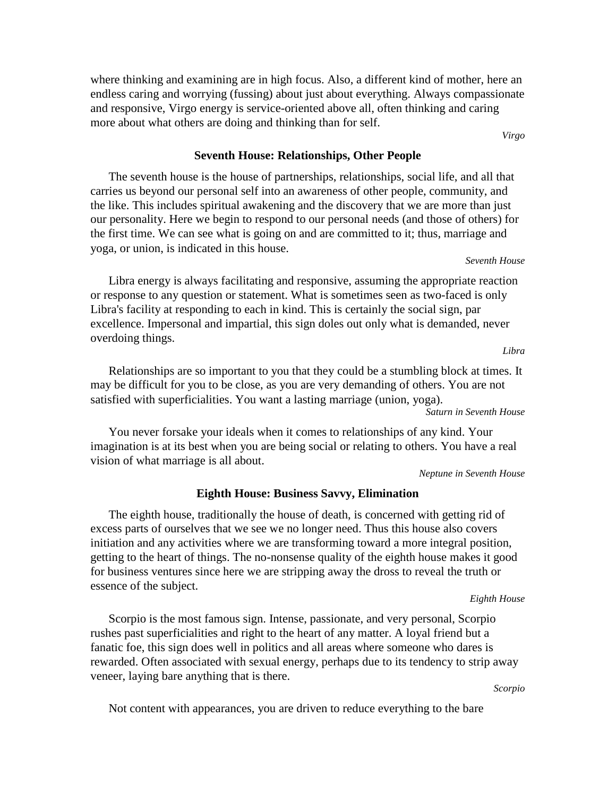where thinking and examining are in high focus. Also, a different kind of mother, here an endless caring and worrying (fussing) about just about everything. Always compassionate and responsive, Virgo energy is service-oriented above all, often thinking and caring more about what others are doing and thinking than for self.

*Virgo*

#### **Seventh House: Relationships, Other People**

The seventh house is the house of partnerships, relationships, social life, and all that carries us beyond our personal self into an awareness of other people, community, and the like. This includes spiritual awakening and the discovery that we are more than just our personality. Here we begin to respond to our personal needs (and those of others) for the first time. We can see what is going on and are committed to it; thus, marriage and yoga, or union, is indicated in this house.

### *Seventh House*

Libra energy is always facilitating and responsive, assuming the appropriate reaction or response to any question or statement. What is sometimes seen as two-faced is only Libra's facility at responding to each in kind. This is certainly the social sign, par excellence. Impersonal and impartial, this sign doles out only what is demanded, never overdoing things.

*Libra*

Relationships are so important to you that they could be a stumbling block at times. It may be difficult for you to be close, as you are very demanding of others. You are not satisfied with superficialities. You want a lasting marriage (union, yoga).

*Saturn in Seventh House*

You never forsake your ideals when it comes to relationships of any kind. Your imagination is at its best when you are being social or relating to others. You have a real vision of what marriage is all about.

*Neptune in Seventh House*

#### **Eighth House: Business Savvy, Elimination**

The eighth house, traditionally the house of death, is concerned with getting rid of excess parts of ourselves that we see we no longer need. Thus this house also covers initiation and any activities where we are transforming toward a more integral position, getting to the heart of things. The no-nonsense quality of the eighth house makes itgood for business ventures since here we are stripping away the dross to reveal the truth or essence of the subject.

*Eighth House*

Scorpio is the most famous sign. Intense, passionate, and very personal, Scorpio rushes past superficialities and right to the heart of any matter. A loyal friend but a fanatic foe, this sign does well in politics and all areas where someone who dares is rewarded. Often associated with sexual energy, perhaps due to its tendency to strip away veneer, laying bare anything that is there.

*Scorpio*

Not content with appearances, you are driven to reduce everything to the bare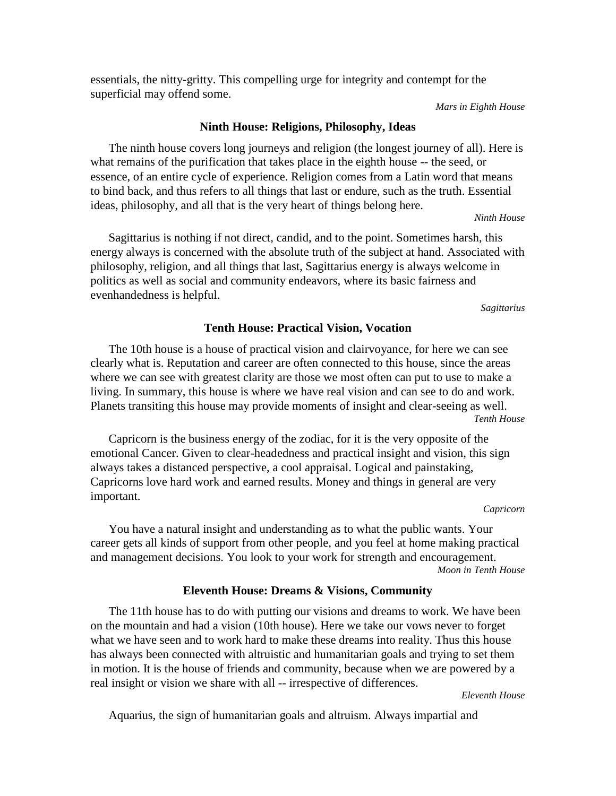essentials, the nitty-gritty. This compelling urge for integrity and contempt for the superficial may offend some.

*Mars in Eighth House*

# **Ninth House: Religions, Philosophy, Ideas**

The ninth house covers long journeys and religion (the longest journey of all). Here is what remains of the purification that takes place in the eighth house -- the seed, or essence, of an entire cycle of experience. Religion comes from a Latin word that means to bind back, and thus refers to all things that last or endure, such as the truth. Essential ideas, philosophy, and all that is the very heart of things belong here.

*Ninth House*

Sagittarius is nothing if not direct, candid, and to the point. Sometimes harsh, this energy always is concerned with the absolute truth of the subject at hand. Associated with philosophy, religion, and all things that last, Sagittarius energy is always welcome in politics as well as social and community endeavors, where its basic fairness and evenhandedness is helpful.

*Sagittarius*

## **Tenth House: Practical Vision, Vocation**

The 10th house is a house of practical vision and clairvoyance, for here we can see clearly what is. Reputation and career are often connected to this house, since the areas where we can see with greatest clarity are those we most often can put to use to make a living. In summary, this house is where we have real vision and can see to do and work. Planets transiting this house may provide moments of insight and clear-seeing as well. *Tenth House*

Capricorn is the business energy of the zodiac, for it is the very opposite of the emotional Cancer. Given to clear-headedness and practical insight and vision, this sign always takes a distanced perspective, a cool appraisal. Logical and painstaking, Capricorns love hard work and earned results. Money and things in general are very important.

#### *Capricorn*

You have a natural insight and understanding as to what the public wants. Your career gets all kinds of support from other people, and you feel at home making practical and management decisions. You look to your work for strength and encouragement. *Moon in Tenth House*

## **Eleventh House: Dreams & Visions, Community**

The 11th house has to do with putting our visions and dreams to work. We have been on the mountain and had a vision (10th house). Here we take our vows never to forget what we have seen and to work hard to make these dreams into reality. Thus this house has always been connected with altruistic and humanitarian goals and trying to set them in motion. It is the house of friends and community, because when we are powered by a real insight or vision we share with all -- irrespective of differences.

*Eleventh House*

Aquarius, the sign of humanitarian goals and altruism. Always impartial and